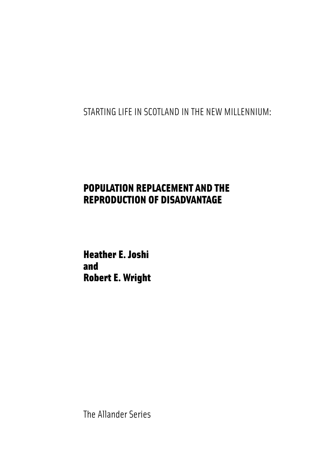STARTING LIFE IN SCOTLAND IN THE NEW MILLENNIUM:

## POPULATION REPLACEMENT AND THE REPRODUCTION OF DISADVANTAGE

Heather E. Joshi and Robert E. Wright

The Allander Series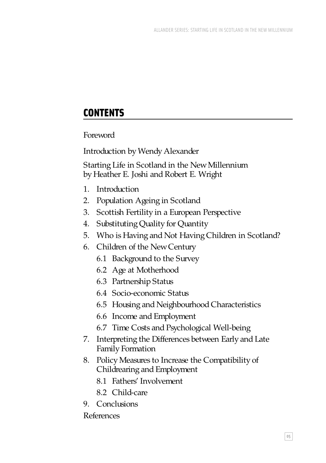# **CONTENTS**

Foreword

Introduction by Wendy Alexander

Starting Life in Scotland in the New Millennium by Heather E. Joshi and Robert E. Wright

- 1. Introduction
- 2. Population Ageing in Scotland
- 3. Scottish Fertility in a European Perspective
- 4. Substituting Quality for Quantity
- 5. Who is Having and Not Having Children in Scotland?
- 6. Children of the New Century
	- 6.1 Background to the Survey
	- 6.2 Age at Motherhood
	- 6.3 Partnership Status
	- 6.4 Socio-economic Status
	- 6.5 Housing and Neighbourhood Characteristics
	- 6.6 Income and Employment
	- 6.7 Time Costs and Psychological Well-being
- 7. Interpreting the Differences between Early and Late Family Formation
- 8. Policy Measures to Increase the Compatibility of Childrearing and Employment
	- 8.1 Fathers' Involvement
	- 8.2 Child-care
- 9. Conclusions

### References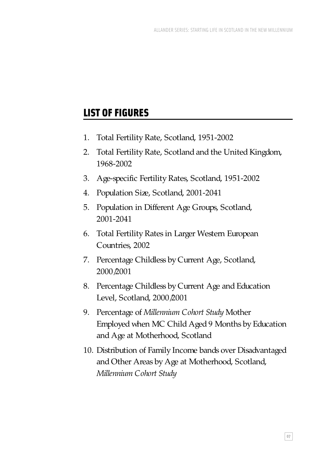# LIST OF FIGURES

- 1. Total Fertility Rate, Scotland, 1951-2002
- 2. Total Fertility Rate, Scotland and the United Kingdom, 1968-2002
- 3. Age-specific Fertility Rates, Scotland, 1951-2002
- 4. Population Size, Scotland, 2001-2041
- 5. Population in Different Age Groups, Scotland, 2001-2041
- 6. Total Fertility Rates in Larger Western European Countries, 2002
- 7. Percentage Childless by Current Age, Scotland, 2000/2001
- 8. Percentage Childless by Current Age and Education Level, Scotland, 2000/2001
- 9. Percentage of *Millennium Cohort Study* Mother Employed when MC Child Aged 9 Months by Education and Age at Motherhood, Scotland
- 10. Distribution of Family Income bands over Disadvantaged and Other Areas by Age at Motherhood, Scotland, *Millennium Cohort Study*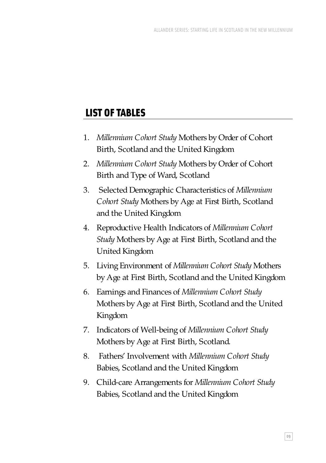# LIST OF TABLES

- 1. *Millennium Cohort Study* Mothers by Order of Cohort Birth, Scotland and the United Kingdom
- 2. *Millennium Cohort Study* Mothers by Order of Cohort Birth and Type of Ward, Scotland
- 3. Selected Demographic Characteristics of *Millennium Cohort Study* Mothers by Age at First Birth, Scotland and the United Kingdom
- 4. Reproductive Health Indicators of *Millennium Cohort Study* Mothers by Age at First Birth, Scotland and the United Kingdom
- 5. Living Environment of *Millennium Cohort Study* Mothers by Age at First Birth, Scotland and the United Kingdom
- 6. Earnings and Finances of *Millennium Cohort Study* Mothers by Age at First Birth, Scotland and the United Kingdom
- 7. Indicators of Well-being of *Millennium Cohort Study* Mothers by Age at First Birth, Scotland.
- 8. Fathers' Involvement with *Millennium Cohort Study* Babies, Scotland and the United Kingdom
- 9. Child-care Arrangements for *Millennium Cohort Study* Babies, Scotland and the United Kingdom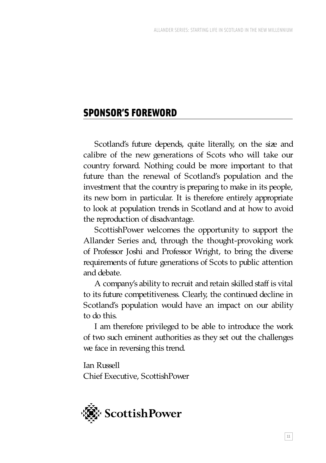## SPONSOR'S FOREWORD

Scotland's future depends, quite literally, on the size and calibre of the new generations of Scots who will take our country forward. Nothing could be more important to that future than the renewal of Scotland's population and the investment that the country is preparing to make in its people, its new born in particular. It is therefore entirely appropriate to look at population trends in Scotland and at how to avoid the reproduction of disadvantage.

ScottishPower welcomes the opportunity to support the Allander Series and, through the thought-provoking work of Professor Joshi and Professor Wright, to bring the diverse requirements of future generations of Scots to public attention and debate.

A company's ability to recruit and retain skilled staff is vital to its future competitiveness. Clearly, the continued decline in Scotland's population would have an impact on our ability to do this.

I am therefore privileged to be able to introduce the work of two such eminent authorities as they set out the challenges we face in reversing this trend.

Ian Russell Chief Executive, ScottishPower

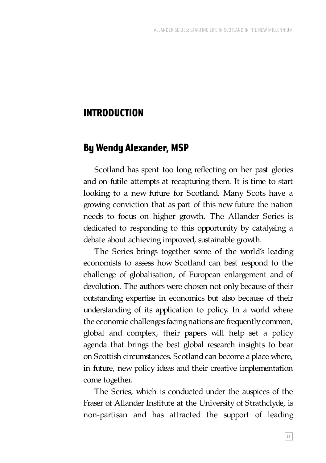## INTRODUCTION

### By Wendy Alexander, MSP

Scotland has spent too long reflecting on her past glories and on futile attempts at recapturing them. It is time to start looking to a new future for Scotland. Many Scots have a growing conviction that as part of this new future the nation needs to focus on higher growth. The Allander Series is dedicated to responding to this opportunity by catalysing a debate about achieving improved, sustainable growth.

The Series brings together some of the world's leading economists to assess how Scotland can best respond to the challenge of globalisation, of European enlargement and of devolution. The authors were chosen not only because of their outstanding expertise in economics but also because of their understanding of its application to policy. In a world where the economic challenges facing nations are frequently common, global and complex, their papers will help set a policy agenda that brings the best global research insights to bear on Scottish circumstances. Scotland can become a place where, in future, new policy ideas and their creative implementation come together.

The Series, which is conducted under the auspices of the Fraser of Allander Institute at the University of Strathclyde, is non-partisan and has attracted the support of leading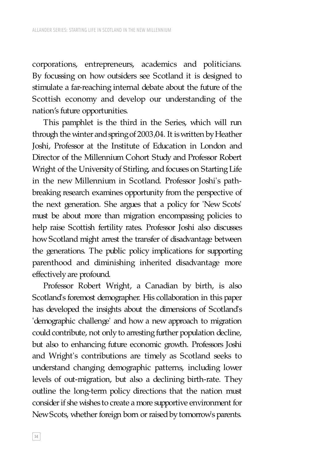corporations, entrepreneurs, academics and politicians. By focussing on how outsiders see Scotland it is designed to stimulate a far-reaching internal debate about the future of the Scottish economy and develop our understanding of the nation's future opportunities.

This pamphlet is the third in the Series, which will run through the winter and spring of 2003/04. It is written by Heather Joshi, Professor at the Institute of Education in London and Director of the Millennium Cohort Study and Professor Robert Wright of the University of Stirling, and focuses on Starting Life in the new Millennium in Scotland. Professor Joshi's pathbreaking research examines opportunity from the perspective of the next generation. She argues that a policy for 'New Scots' must be about more than migration encompassing policies to help raise Scottish fertility rates. Professor Joshi also discusses how Scotland might arrest the transfer of disadvantage between the generations. The public policy implications for supporting parenthood and diminishing inherited disadvantage more effectively are profound.

Professor Robert Wright, a Canadian by birth, is also Scotland's foremost demographer. His collaboration in this paper has developed the insights about the dimensions of Scotland's 'demographic challenge' and how a new approach to migration could contribute, not only to arresting further population decline, but also to enhancing future economic growth. Professors Joshi and Wright's contributions are timely as Scotland seeks to understand changing demographic patterns, including lower levels of out-migration, but also a declining birth-rate. They outline the long-term policy directions that the nation must consider if she wishes to create a more supportive environment for New Scots, whether foreign born or raised by tomorrow's parents.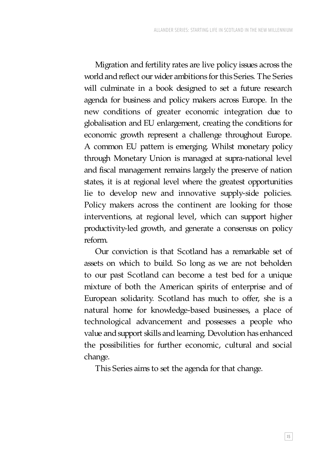Migration and fertility rates are live policy issues across the world and reflect our wider ambitions for this Series. The Series will culminate in a book designed to set a future research agenda for business and policy makers across Europe. In the new conditions of greater economic integration due to globalisation and EU enlargement, creating the conditions for economic growth represent a challenge throughout Europe. A common EU pattern is emerging. Whilst monetary policy through Monetary Union is managed at supra-national level and fiscal management remains largely the preserve of nation states, it is at regional level where the greatest opportunities lie to develop new and innovative supply-side policies. Policy makers across the continent are looking for those interventions, at regional level, which can support higher productivity-led growth, and generate a consensus on policy reform.

Our conviction is that Scotland has a remarkable set of assets on which to build. So long as we are not beholden to our past Scotland can become a test bed for a unique mixture of both the American spirits of enterprise and of European solidarity. Scotland has much to offer, she is a natural home for knowledge-based businesses, a place of technological advancement and possesses a people who value and support skills and learning. Devolution has enhanced the possibilities for further economic, cultural and social change.

This Series aims to set the agenda for that change.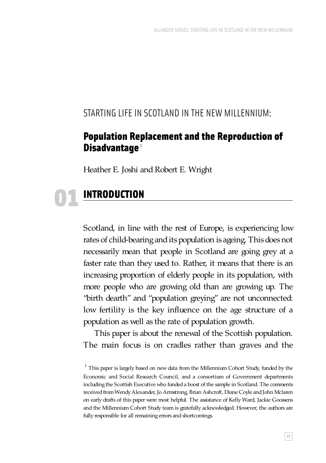### STARTING LIFE IN SCOTLAND IN THE NEW MILLENNIUM:

### Population Replacement and the Reproduction of Disadvantage<sup>1</sup>

Heather E. Joshi and Robert E. Wright

# INTRODUCTION 01

Scotland, in line with the rest of Europe, is experiencing low rates of child-bearing and its population is ageing. This does not necessarily mean that people in Scotland are going grey at a faster rate than they used to. Rather, it means that there is an increasing proportion of elderly people in its population, with more people who are growing old than are growing up. The "birth dearth" and "population greying" are not unconnected: low fertility is the key influence on the age structure of a population as well as the rate of population growth.

This paper is about the renewal of the Scottish population. The main focus is on cradles rather than graves and the

 $<sup>1</sup>$  This paper is largely based on new data from the Millennium Cohort Study, funded by the</sup> Economic and Social Research Council, and a consortium of Government departments including the Scottish Executive who funded a boost of the sample in Scotland. The comments received from Wendy Alexander, Jo Armstrong, Brian Ashcroft, Diane Coyle and John Mclaren on early drafts of this paper were most helpful. The assistance of Kelly Ward, Jackie Goossens and the Millennium Cohort Study team is gratefully acknowledged. However, the authors are fully responsible for all remaining errors and shortcomings.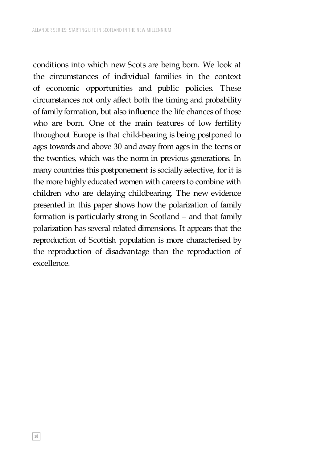conditions into which new Scots are being born. We look at the circumstances of individual families in the context of economic opportunities and public policies. These circumstances not only affect both the timing and probability of family formation, but also influence the life chances of those who are born. One of the main features of low fertility throughout Europe is that child-bearing is being postponed to ages towards and above 30 and away from ages in the teens or the twenties, which was the norm in previous generations. In many countries this postponement is socially selective, for it is the more highly educated women with careers to combine with children who are delaying childbearing. The new evidence presented in this paper shows how the polarization of family formation is particularly strong in Scotland – and that family polarization has several related dimensions. It appears that the reproduction of Scottish population is more characterised by the reproduction of disadvantage than the reproduction of excellence.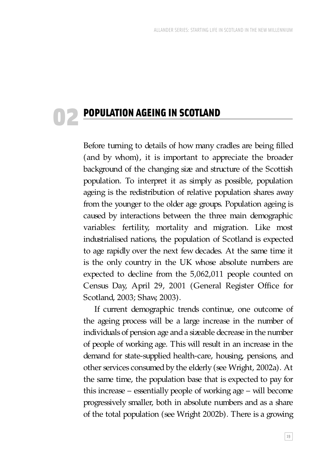# POPULATION AGEING IN SCOTLAND 02

Before turning to details of how many cradles are being filled (and by whom), it is important to appreciate the broader background of the changing size and structure of the Scottish population. To interpret it as simply as possible, population ageing is the redistribution of relative population shares away from the younger to the older age groups. Population ageing is caused by interactions between the three main demographic variables: fertility, mortality and migration. Like most industrialised nations, the population of Scotland is expected to age rapidly over the next few decades. At the same time it is the only country in the UK whose absolute numbers are expected to decline from the 5,062,011 people counted on Census Day, April 29, 2001 (General Register Office for Scotland, 2003; Shaw, 2003).

If current demographic trends continue, one outcome of the ageing process will be a large increase in the number of individuals of pension age and a sizeable decrease in the number of people of working age. This will result in an increase in the demand for state-supplied health-care, housing, pensions, and other services consumed by the elderly (see Wright, 2002a). At the same time, the population base that is expected to pay for this increase – essentially people of working age – will become progressively smaller, both in absolute numbers and as a share of the total population (see Wright 2002b). There is a growing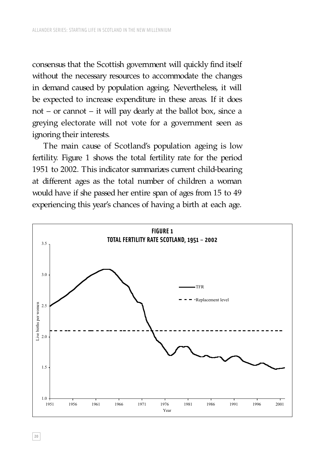consensus that the Scottish government will quickly find itself without the necessary resources to accommodate the changes in demand caused by population ageing. Nevertheless, it will be expected to increase expenditure in these areas. If it does not – or cannot – it will pay dearly at the ballot box, since a greying electorate will not vote for a government seen as ignoring their interests.

The main cause of Scotland's population ageing is low fertility. Figure 1 shows the total fertility rate for the period 1951 to 2002. This indicator summarizes current child-bearing at different ages as the total number of children a woman would have if she passed her entire span of ages from 15 to 49 experiencing this year's chances of having a birth at each age.



**20**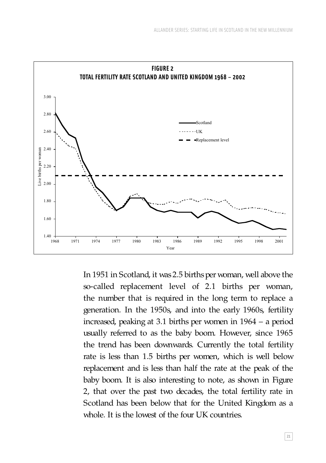

In 1951 in Scotland, it was 2.5 births per woman, well above the so-called replacement level of 2.1 births per woman, the number that is required in the long term to replace a generation. In the 1950s, and into the early 1960s, fertility increased, peaking at 3.1 births per women in 1964 – a period usually referred to as the baby boom. However, since 1965 the trend has been downwards. Currently the total fertility rate is less than 1.5 births per women, which is well below replacement and is less than half the rate at the peak of the baby boom. It is also interesting to note, as shown in Figure 2, that over the past two decades, the total fertility rate in Scotland has been below that for the United Kingdom as a whole. It is the lowest of the four UK countries.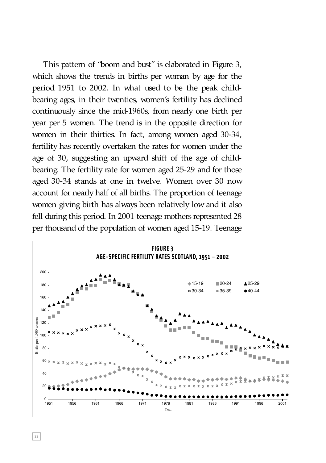This pattern of "boom and bust" is elaborated in Figure 3, which shows the trends in births per woman by age for the period 1951 to 2002. In what used to be the peak childbearing ages, in their twenties, women's fertility has declined continuously since the mid-1960s, from nearly one birth per year per 5 women. The trend is in the opposite direction for women in their thirties. In fact, among women aged 30-34, fertility has recently overtaken the rates for women under the age of 30, suggesting an upward shift of the age of childbearing. The fertility rate for women aged 25-29 and for those aged 30-34 stands at one in twelve. Women over 30 now account for nearly half of all births. The proportion of teenage women giving birth has always been relatively low and it also fell during this period. In 2001 teenage mothers represented 28 per thousand of the population of women aged 15-19. Teenage

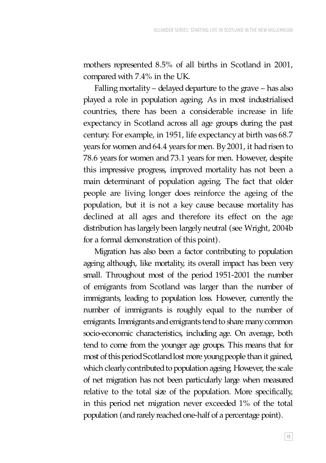mothers represented 8.5% of all births in Scotland in 2001, compared with 7.4% in the UK.

Falling mortality – delayed departure to the grave – has also played a role in population ageing. As in most industrialised countries, there has been a considerable increase in life expectancy in Scotland across all age groups during the past century. For example, in 1951, life expectancy at birth was 68.7 years for women and 64.4 years for men. By 2001, it had risen to 78.6 years for women and 73.1 years for men. However, despite this impressive progress, improved mortality has not been a main determinant of population ageing. The fact that older people are living longer does reinforce the ageing of the population, but it is not a key cause because mortality has declined at all ages and therefore its effect on the age distribution has largely been largely neutral (see Wright, 2004b for a formal demonstration of this point).

Migration has also been a factor contributing to population ageing although, like mortality, its overall impact has been very small. Throughout most of the period 1951-2001 the number of emigrants from Scotland was larger than the number of immigrants, leading to population loss. However, currently the number of immigrants is roughly equal to the number of emigrants. Immigrants and emigrants tend to share many common socio-economic characteristics, including age. On average, both tend to come from the younger age groups. This means that for most of this period Scotland lost more young people than it gained, which clearly contributed to population ageing. However, the scale of net migration has not been particularly large when measured relative to the total size of the population. More specifically, in this period net migration never exceeded 1% of the total population (and rarely reached one-half of a percentage point).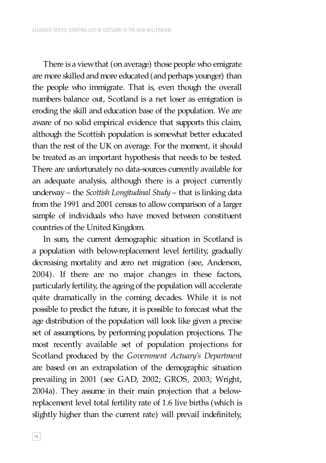There is a view that (on average) those people who emigrate are more skilled and more educated (and perhaps younger) than the people who immigrate. That is, even though the overall numbers balance out, Scotland is a net loser as emigration is eroding the skill and education base of the population. We are aware of no solid empirical evidence that supports this claim, although the Scottish population is somewhat better educated than the rest of the UK on average. For the moment, it should be treated as an important hypothesis that needs to be tested. There are unfortunately no data-sources currently available for an adequate analysis, although there is a project currently underway – the *Scottish Longitudinal Study* – that is linking data from the 1991 and 2001 census to allow comparison of a larger sample of individuals who have moved between constituent countries of the United Kingdom.

In sum, the current demographic situation in Scotland is a population with below-replacement level fertility, gradually decreasing mortality and zero net migration (see, Anderson, 2004). If there are no major changes in these factors, particularly fertility, the ageing of the population will accelerate quite dramatically in the coming decades. While it is not possible to predict the future, it is possible to forecast what the age distribution of the population will look like given a precise set of assumptions, by performing population projections. The most recently available set of population projections for Scotland produced by the *Government Actuary's Department*  are based on an extrapolation of the demographic situation prevailing in 2001 (see GAD, 2002; GROS, 2003; Wright, 2004a). They assume in their main projection that a belowreplacement level total fertility rate of 1.6 live births (which is slightly higher than the current rate) will prevail indefinitely,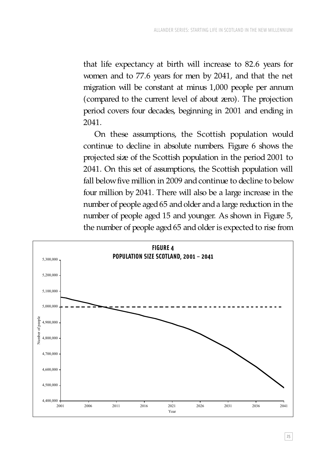that life expectancy at birth will increase to 82.6 years for women and to 77.6 years for men by 2041, and that the net migration will be constant at minus 1,000 people per annum (compared to the current level of about zero). The projection period covers four decades, beginning in 2001 and ending in 2041.

On these assumptions, the Scottish population would continue to decline in absolute numbers. Figure 6 shows the projected size of the Scottish population in the period 2001 to 2041. On this set of assumptions, the Scottish population will fall below five million in 2009 and continue to decline to below four million by 2041. There will also be a large increase in the number of people aged 65 and older and a large reduction in the number of people aged 15 and younger. As shown in Figure 5, the number of people aged 65 and older is expected to rise from

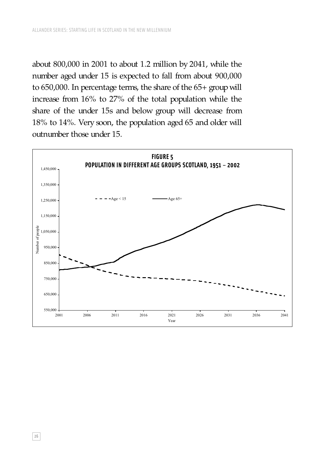about 800,000 in 2001 to about 1.2 million by 2041, while the number aged under 15 is expected to fall from about 900,000 to 650,000. In percentage terms, the share of the 65+ group will increase from 16% to 27% of the total population while the share of the under 15s and below group will decrease from 18% to 14%. Very soon, the population aged 65 and older will outnumber those under 15.

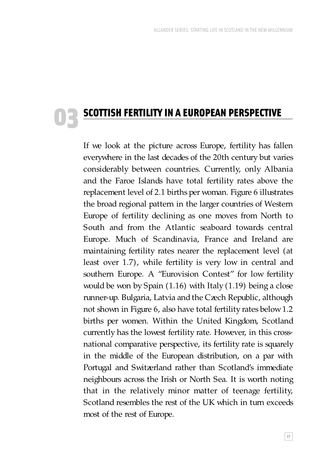# SCOTTISH FERTILITY IN A EUROPEAN PERSPECTIVE 03

If we look at the picture across Europe, fertility has fallen everywhere in the last decades of the 20th century but varies considerably between countries. Currently, only Albania and the Faroe Islands have total fertility rates above the replacement level of 2.1 births per woman. Figure 6 illustrates the broad regional pattern in the larger countries of Western Europe of fertility declining as one moves from North to South and from the Atlantic seaboard towards central Europe. Much of Scandinavia, France and Ireland are maintaining fertility rates nearer the replacement level (at least over 1.7), while fertility is very low in central and southern Europe. A "Eurovision Contest" for low fertility would be won by Spain (1.16) with Italy (1.19) being a close runner-up. Bulgaria, Latvia and the Czech Republic, although not shown in Figure 6, also have total fertility rates below 1.2 births per women. Within the United Kingdom, Scotland currently has the lowest fertility rate. However, in this crossnational comparative perspective, its fertility rate is squarely in the middle of the European distribution, on a par with Portugal and Switzerland rather than Scotland's immediate neighbours across the Irish or North Sea. It is worth noting that in the relatively minor matter of teenage fertility, Scotland resembles the rest of the UK which in turn exceeds most of the rest of Europe.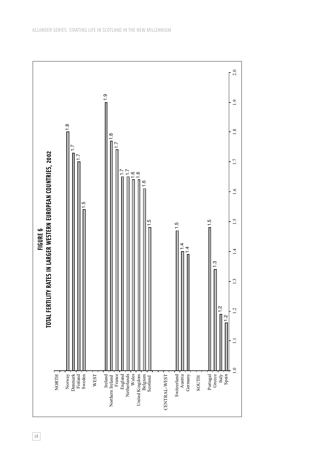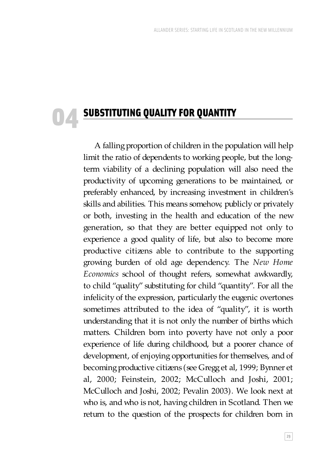# SUBSTITUTING QUALITY FOR QUANTITY 04

A falling proportion of children in the population will help limit the ratio of dependents to working people, but the longterm viability of a declining population will also need the productivity of upcoming generations to be maintained, or preferably enhanced, by increasing investment in children's skills and abilities. This means somehow, publicly or privately or both, investing in the health and education of the new generation, so that they are better equipped not only to experience a good quality of life, but also to become more productive citizens able to contribute to the supporting growing burden of old age dependency. The *New Home Economics* school of thought refers, somewhat awkwardly, to child "quality" substituting for child "quantity". For all the infelicity of the expression, particularly the eugenic overtones sometimes attributed to the idea of "quality", it is worth understanding that it is not only the number of births which matters. Children born into poverty have not only a poor experience of life during childhood, but a poorer chance of development, of enjoying opportunities for themselves, and of becoming productive citizens (see Gregg et al, 1999; Bynner et al, 2000; Feinstein, 2002; McCulloch and Joshi, 2001; McCulloch and Joshi, 2002; Pevalin 2003). We look next at who is, and who is not, having children in Scotland. Then we return to the question of the prospects for children born in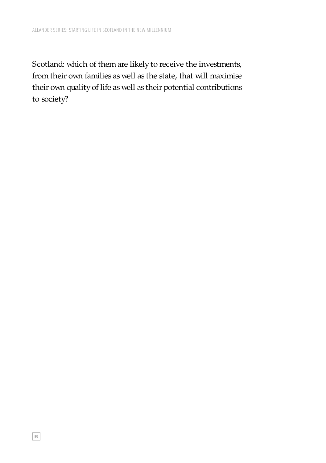Scotland: which of them are likely to receive the investments, from their own families as well as the state, that will maximise their own quality of life as well as their potential contributions to society?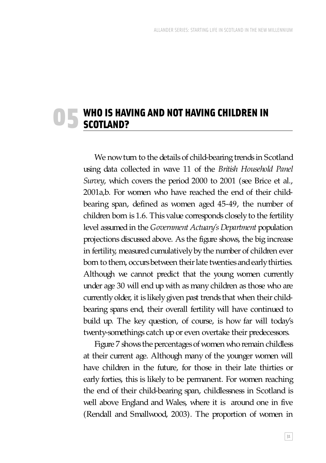# WHO IS HAVING AND NOT HAVING CHILDREN IN O 5 WHO IS HAVE

We now turn to the details of child-bearing trends in Scotland using data collected in wave 11 of the *British Household Panel Survey*, which covers the period 2000 to 2001 (see Brice et al., 2001a,b. For women who have reached the end of their childbearing span, defined as women aged 45-49, the number of children born is 1.6. This value corresponds closely to the fertility level assumed in the *Government Actuary's Department* population projections discussed above. As the figure shows, the big increase in fertility, measured cumulatively by the number of children ever born to them, occurs between their late twenties and early thirties. Although we cannot predict that the young women currently under age 30 will end up with as many children as those who are currently older, it is likely given past trends that when their childbearing spans end, their overall fertility will have continued to build up. The key question, of course, is how far will today's twenty-somethings catch up or even overtake their predecessors.

Figure 7 shows the percentages of women who remain childless at their current age. Although many of the younger women will have children in the future, for those in their late thirties or early forties, this is likely to be permanent. For women reaching the end of their child-bearing span, childlessness in Scotland is well above England and Wales, where it is around one in five (Rendall and Smallwood, 2003). The proportion of women in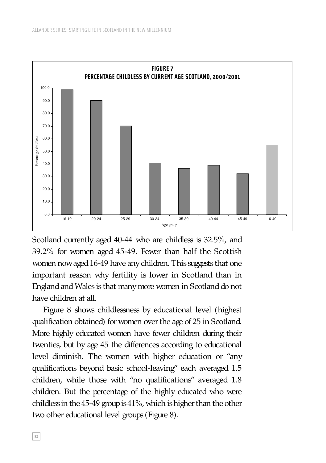

Scotland currently aged 40-44 who are childless is 32.5%, and 39.2% for women aged 45-49. Fewer than half the Scottish women now aged 16-49 have any children. This suggests that one important reason why fertility is lower in Scotland than in England and Wales is that many more women in Scotland do not have children at all.

Figure 8 shows childlessness by educational level (highest qualification obtained) for women over the age of 25 in Scotland. More highly educated women have fewer children during their twenties, but by age 45 the differences according to educational level diminish. The women with higher education or "any qualifications beyond basic school-leaving" each averaged 1.5 children, while those with "no qualifications" averaged 1.8 children. But the percentage of the highly educated who were childless in the 45-49 group is 41%, which is higher than the other two other educational level groups (Figure 8).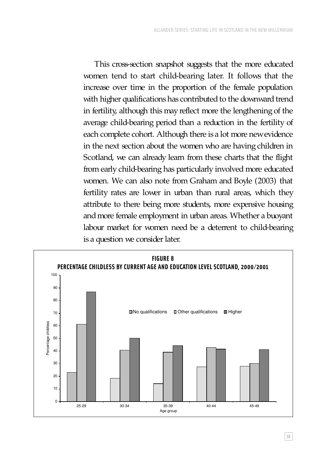This cross-section snapshot suggests that the more educated women tend to start child-bearing later. It follows that the increase over time in the proportion of the female population with higher qualifications has contributed to the downward trend in fertility, although this may reflect more the lengthening of the average child-bearing period than a reduction in the fertility of each complete cohort. Although there is a lot more new evidence in the next section about the women who are having children in Scotland, we can already learn from these charts that the flight from early child-bearing has particularly involved more educated women. We can also note from Graham and Boyle (2003) that fertility rates are lower in urban than rural areas, which they attribute to there being more students, more expensive housing and more female employment in urban areas. Whether a buoyant labour market for women need be a deterrent to child-bearing is a question we consider later.

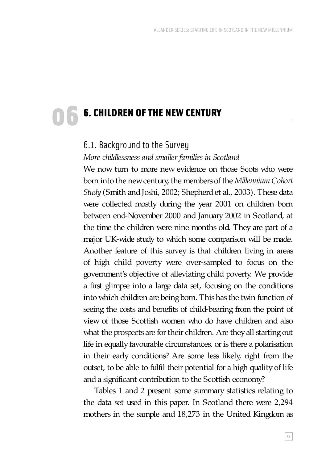# 6. CHILDREN OF THE NEW CENTURY 06

### 6.1. Background to the Survey

#### *More childlessness and smaller families in Scotland*

We now turn to more new evidence on those Scots who were born into the new century, the members of the *Millennium Cohort Study* (Smith and Joshi, 2002; Shepherd et al., 2003). These data were collected mostly during the year 2001 on children born between end-November 2000 and January 2002 in Scotland, at the time the children were nine months old. They are part of a major UK-wide study to which some comparison will be made. Another feature of this survey is that children living in areas of high child poverty were over-sampled to focus on the government's objective of alleviating child poverty. We provide a first glimpse into a large data set, focusing on the conditions into which children are being born. This has the twin function of seeing the costs and benefits of child-bearing from the point of view of those Scottish women who do have children and also what the prospects are for their children. Are they all starting out life in equally favourable circumstances, or is there a polarisation in their early conditions? Are some less likely, right from the outset, to be able to fulfil their potential for a high quality of life and a significant contribution to the Scottish economy?

Tables 1 and 2 present some summary statistics relating to the data set used in this paper. In Scotland there were 2,294 mothers in the sample and 18,273 in the United Kingdom as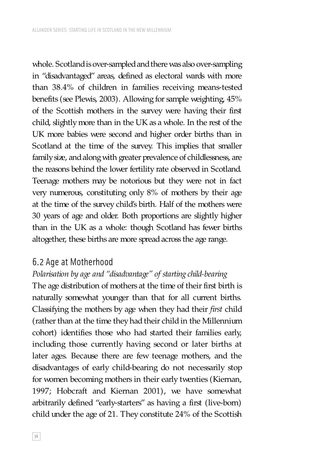whole. Scotland is over-sampled and there was also over-sampling in "disadvantaged" areas, defined as electoral wards with more than 38.4% of children in families receiving means-tested benefits (see Plewis, 2003). Allowing for sample weighting, 45% of the Scottish mothers in the survey were having their first child, slightly more than in the UK as a whole. In the rest of the UK more babies were second and higher order births than in Scotland at the time of the survey. This implies that smaller family size, and along with greater prevalence of childlessness, are the reasons behind the lower fertility rate observed in Scotland. Teenage mothers may be notorious but they were not in fact very numerous, constituting only 8% of mothers by their age at the time of the survey child's birth. Half of the mothers were 30 years of age and older. Both proportions are slightly higher than in the UK as a whole: though Scotland has fewer births altogether, these births are more spread across the age range.

#### 6.2 Age at Motherhood

## *Polarisation by age and "disadvantage" of starting child-bearing*

The age distribution of mothers at the time of their first birth is naturally somewhat younger than that for all current births. Classifying the mothers by age when they had their *first* child (rather than at the time they had their child in the Millennium cohort) identifies those who had started their families early, including those currently having second or later births at later ages. Because there are few teenage mothers, and the disadvantages of early child-bearing do not necessarily stop for women becoming mothers in their early twenties (Kiernan, 1997; Hobcraft and Kiernan 2001), we have somewhat arbitrarily defined "early-starters" as having a first (live-born) child under the age of 21. They constitute 24% of the Scottish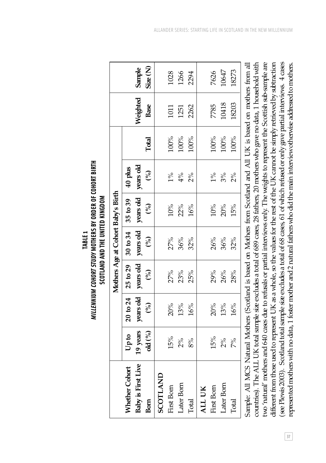|                                                                                                                                      |          |               |                                    | <b>SUULAND AND INE UNITED NINGDUM</b> |               |               |         |          |         |
|--------------------------------------------------------------------------------------------------------------------------------------|----------|---------------|------------------------------------|---------------------------------------|---------------|---------------|---------|----------|---------|
|                                                                                                                                      |          |               | Mothers Age at Cohort Baby's Birth |                                       |               |               |         |          |         |
| Whether Cohort                                                                                                                       | Upto     | 20 to 24      | 25 to 29                           | 30 to 34                              | 35 to 39      | $40$ plus     |         |          |         |
| Baby is First Live                                                                                                                   | 19 years | years old     | years old                          | years old                             | years old     | years old     |         | Weighted | Sample  |
| Born                                                                                                                                 | old (%)  | $\mathcal{S}$ | $\mathcal{S}$                      | ે                                     | $\mathcal{E}$ | $\mathcal{S}$ | Total   | Base     | Size(N) |
| SCOTLAND                                                                                                                             |          |               |                                    |                                       |               |               |         |          |         |
| First Born                                                                                                                           | 15%      | 20%           | 27%                                | 27%                                   | 10%           | $1\%$         | 100%    | 1011     | 1028    |
| Later Born                                                                                                                           | 2%       | 13%           | 23%                                | 36%                                   | 22%           | 4%            | $100\%$ | 1251     | 1266    |
| Total                                                                                                                                | 8%       | 16%           | 25%                                | 32%                                   | 16%           | 2%            | 100%    | 2262     | 2294    |
| ALL UK                                                                                                                               |          |               |                                    |                                       |               |               |         |          |         |
| First Born                                                                                                                           | 15%      | 20%           | 29%                                | 26%                                   | 10%           | $1\%$         | 100%    | 7785     | 7626    |
| Later Born                                                                                                                           | $2\%$    | 13%           | 26%                                | 36%                                   | 20%           | 3%            | 100%    | 10418    | 10647   |
| Total                                                                                                                                | 7%       | 16%           | 28%                                | 32%                                   | 15%           | 2%            | 100%    | 18203    | 18273   |
| Sample: All MCS Natural Mothers (Scotland is based on Mothers from Scotland and All UK is based on mothers from all                  |          |               |                                    |                                       |               |               |         |          |         |
| countries). The ALL UK total sample size excludes a total of 689 cases, 28 fathers, 20 mothers who gave no data, 1 household with    |          |               |                                    |                                       |               |               |         |          |         |
| two 'natural' mothers and 640 cases due to refusals or partial interviews only. The weights to represent the Scottish sub-sample are |          |               |                                    |                                       |               |               |         |          |         |
| different from those used to represent UK as a whole, so the values for the rest of the UK carnot be simply retrieved by subtraction |          |               |                                    |                                       |               |               |         |          |         |

TABLE 1<br>*Millennium Cohort Study* Wothers by Order of Cohort Birth *MILLENNIUM COHORT STUDY* **MOTHERS BY ORDER OF COHORT BIRTH SCOTI AND AND THE UNITED KINGDOM SCOTLAND AND THE UNITED KINGDOM** see Plewis 2003). Scotland total sample size excludes a total of 68 cases, 61 of which refused or only gave partial interviews. 4 cases (see Plewis 2003). Scotland total sample size excludes a total of 68 cases, 61 of which refused or only gave partial interviews. 4 cases represented mothers with no data, 1 foster mother and 2 natural fathers who did the main interview otherwise addressed to mothers. represented mothers with no data, 1 foster mother and 2 natural fathers who did the main interview otherwise addressed to mothers. **37**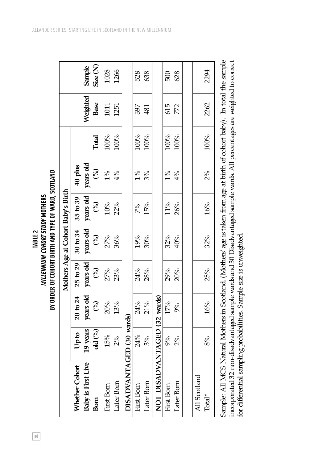| <b>TABLE 2</b> | MILLENNIUM COHORT STUDY MOTHERS | BY ORDER OF COHORT BIRTH AND TYPE OF WARD, SCOTLAND |
|----------------|---------------------------------|-----------------------------------------------------|
|----------------|---------------------------------|-----------------------------------------------------|

|                              |          |              |               |           | Mothers Age at Cohort Baby's Birth |           |         |          |         |
|------------------------------|----------|--------------|---------------|-----------|------------------------------------|-----------|---------|----------|---------|
| Whether Cohort               | upto     | $20$ to $24$ | 25 to 29      | 30 to 34  | 35 to 39                           | $40$ plus |         |          |         |
| <b>Baby is First Live</b>    | 19 years | years old    | years old     | years old | years old                          | years old |         | Weighted | Sample  |
| Bom                          | old (%)  | (%)          | $\mathcal{S}$ | (%)       | (5)                                | (%)       | Total   | Base     | Size(N) |
| First Born                   | 15%      | 20%          | 27%           | 27%       | 10%                                | $1\%$     | 100%    | 1011     | 1028    |
| Later Born                   | 2%       | 13%          | 23%           | 36%       | 22%                                | 4%        | $100\%$ | 1251     | 1266    |
| DISADVANTAGED (30 wards)     |          |              |               |           |                                    |           |         |          |         |
| First Born                   | 24%      | 24%          | 24%           | 19%       | 7%                                 | $1\%$     | 100%    | 397      | 528     |
| Later Born                   | 3%       | 21%          | 28%           | 30%       | 15%                                | 3%        | 100%    | 481      | 638     |
| NOT DISADVANTAGED (32 wards) |          |              |               |           |                                    |           |         |          |         |
| First Born                   | 9%       | 17%          | 29%           | 32%       | $11\%$                             | $1\%$     | 100%    | 615      | 500     |
| Later Born                   | 2%       | $9\%$        | 20%           | 40%       | 26%                                | 4%        | 100%    | 772      | 628     |
|                              |          |              |               |           |                                    |           |         |          |         |
| All Scotland                 |          |              |               |           |                                    |           |         |          |         |
| Total*                       | 8%       | 16%          | 25%           | 32%       | 16%                                | $2\%$     | 100%    | 2262     | 2294    |
|                              |          |              |               |           |                                    |           |         |          |         |

Sample: All MCS Natural Mothers in Scotland. (Mothers' age is taken from age at birth of cohort baby). In total the sample incorporated 32 non-disadvantaged sample wards and 30 Disadvantaged sample wards. All percentages are weighted to correct Sample: All MCS Natural Mothers in Scotland. (Mothers' age is taken from age at birth of cohort baby). In total the sample incorporated 32 non-disadvantaged sample wards and 30 Disadvantaged sample wards. All percentages are weighted to correct for differential sampling probabilities. Sample size is unweighted. for differential sampling probabilities. Sample size is unweighted.

**38**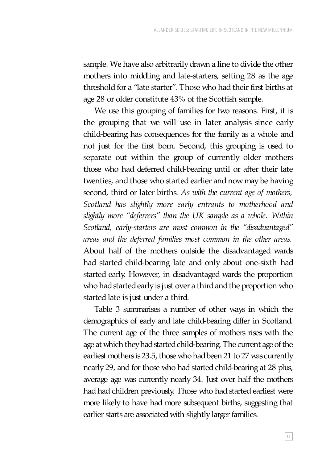sample. We have also arbitrarily drawn a line to divide the other mothers into middling and late-starters, setting 28 as the age threshold for a "late starter". Those who had their first births at age 28 or older constitute 43% of the Scottish sample.

We use this grouping of families for two reasons. First, it is the grouping that we will use in later analysis since early child-bearing has consequences for the family as a whole and not just for the first born. Second, this grouping is used to separate out within the group of currently older mothers those who had deferred child-bearing until or after their late twenties, and those who started earlier and now may be having second, third or later births. *As with the current age of mothers, Scotland has slightly more early entrants to motherhood and slightly more "deferrers" than the UK sample as a whole. Within Scotland, early-starters are most common in the "disadvantaged" areas and the deferred families most common in the other areas.* About half of the mothers outside the disadvantaged wards had started child-bearing late and only about one-sixth had started early. However, in disadvantaged wards the proportion who had started early is just over a third and the proportion who started late is just under a third.

Table 3 summarises a number of other ways in which the demographics of early and late child-bearing differ in Scotland. The current age of the three samples of mothers rises with the age at which they had started child-bearing. The current age of the earliest mothers is 23.5, those who had been 21 to 27 was currently nearly 29, and for those who had started child-bearing at 28 plus, average age was currently nearly 34. Just over half the mothers had had children previously. Those who had started earliest were more likely to have had more subsequent births, suggesting that earlier starts are associated with slightly larger families.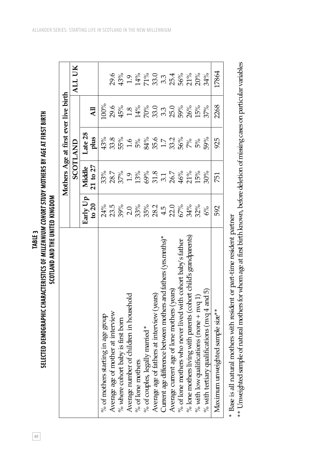SELECTED DEMOGRAPHIC CHARACTERISTICS OF *MILLENNIUM COHORT STUDY* MOTHERS BY AGE AT FIRST BIRTH **SELECTED DEMOGRAPHIC CHARACTERISTICS OF** *MILLENNIUM COHORT STUDY* **MOTHERS BY AGE AT FIRST BIRTH** SCOTLAND AND THE UNITED KINGDOM **SCOTLAND AND THE UNITED KINGDOM** TABLE<sub>3</sub> **40TABLE 3**

|                                                                    |                                   |              | Mothers Age at first ever live birth |                          |           |
|--------------------------------------------------------------------|-----------------------------------|--------------|--------------------------------------|--------------------------|-----------|
|                                                                    |                                   |              | SCOTLAND                             |                          | ALL UK    |
|                                                                    | Early Up                          | Middle       | Late 28                              |                          |           |
|                                                                    | to $20$                           | $21$ to $27$ | plus                                 | $\overline{AB}$          |           |
| $%$ of mothers starting in age group                               | 24%                               | 33%          | 43%                                  | 00%                      |           |
| Average age of mother at interview                                 | 23.5                              | 28.7         | 33.8                                 | 29.6                     | 29.6      |
| % where cohort baby is first born                                  |                                   | 37%          | 55%                                  | 45%                      |           |
| Average number of children in household                            | $39\%$<br>2.0                     | 1.9          | $\ddot{0}$                           | 1.8                      | $1.9^{6}$ |
| $%$ of lone mothers                                                |                                   | 13%          | $5\%$                                |                          |           |
| % of couples, legally married *                                    |                                   | 69%          |                                      |                          |           |
| Average age of fathers at interview (years)                        | $33%$<br>$35%$<br>$34.5$<br>$4.2$ | 31.8         | 84%<br>35.0<br>1.7<br>36%            | $14%$<br>$70%$<br>$33.3$ |           |
| Current age difference between mothers and fathers (yrs.mnths) $*$ |                                   | 3.1          |                                      |                          |           |
| Average current age of lone mothers (years)                        |                                   | 26.7         |                                      | 25.0                     |           |
| % of lone mothers who never lived with cohort baby's father        | 57%                               | 46%          |                                      | $59\%$                   |           |
| % lone mothers living with parents (cohort child's grandparents)   | 34%                               | 21%          | $7\%$                                | 26%                      |           |
| % with low qualifications (none $+$ nvq 1)                         | 32%                               | 15%          | $5\%$                                | 15%                      |           |
| % with tertiary qualifications (nvq $4$ and $5$ )                  | 6%                                | $30\%$       | 59%                                  | 37%                      | 34%       |
| Maximum unweighted sample size**                                   | 592                               | 751          | 925                                  | 2268                     | 17864     |
|                                                                    |                                   |              |                                      |                          |           |

\* Base is all natural mothers with resident or part-time resident partner \* Base is all natural mothers with resident or part-time resident partner

\*\* Unweighted sample of natural mothers for whom age at first birth known, before deletion of missing cases on particular variables \*\* Unweighted sample of natural mothers for whom age at first birth known, before deletion of missing cases on particular variables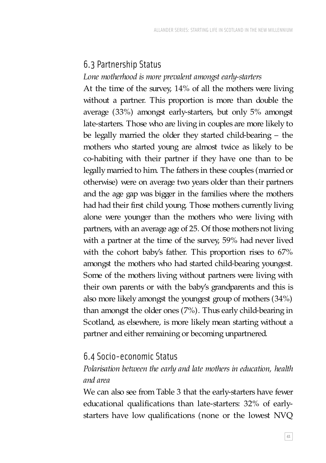## 6.3 Partnership Status

#### *Lone motherhood is more prevalent amongst early-starters*

At the time of the survey, 14% of all the mothers were living without a partner. This proportion is more than double the average (33%) amongst early-starters, but only 5% amongst late-starters. Those who are living in couples are more likely to be legally married the older they started child-bearing – the mothers who started young are almost twice as likely to be co-habiting with their partner if they have one than to be legally married to him. The fathers in these couples (married or otherwise) were on average two years older than their partners and the age gap was bigger in the families where the mothers had had their first child young. Those mothers currently living alone were younger than the mothers who were living with partners, with an average age of 25. Of those mothers not living with a partner at the time of the survey, 59% had never lived with the cohort baby's father. This proportion rises to 67% amongst the mothers who had started child-bearing youngest. Some of the mothers living without partners were living with their own parents or with the baby's grandparents and this is also more likely amongst the youngest group of mothers (34%) than amongst the older ones (7%). Thus early child-bearing in Scotland, as elsewhere, is more likely mean starting without a partner and either remaining or becoming unpartnered.

#### 6.4 Socio-economic Status

### *Polarisation between the early and late mothers in education, health and area*

We can also see from Table 3 that the early-starters have fewer educational qualifications than late-starters: 32% of earlystarters have low qualifications (none or the lowest NVQ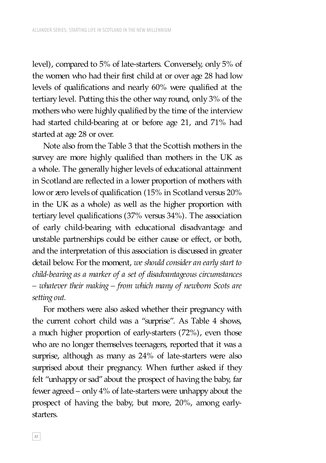level), compared to 5% of late-starters. Conversely, only 5% of the women who had their first child at or over age 28 had low levels of qualifications and nearly 60% were qualified at the tertiary level. Putting this the other way round, only 3% of the mothers who were highly qualified by the time of the interview had started child-bearing at or before age 21, and 71% had started at age 28 or over.

Note also from the Table 3 that the Scottish mothers in the survey are more highly qualified than mothers in the UK as a whole. The generally higher levels of educational attainment in Scotland are reflected in a lower proportion of mothers with low or zero levels of qualification (15% in Scotland versus 20% in the UK as a whole) as well as the higher proportion with tertiary level qualifications (37% versus 34%). The association of early child-bearing with educational disadvantage and unstable partnerships could be either cause or effect, or both, and the interpretation of this association is discussed in greater detail below. For the moment, *we should consider an early start to child-bearing as a marker of a set of disadvantageous circumstances – whatever their making – from which many of newborn Scots are setting out.*

For mothers were also asked whether their pregnancy with the current cohort child was a "surprise". As Table 4 shows, a much higher proportion of early-starters (72%), even those who are no longer themselves teenagers, reported that it was a surprise, although as many as 24% of late-starters were also surprised about their pregnancy. When further asked if they felt "unhappy or sad" about the prospect of having the baby, far fewer agreed – only 4% of late-starters were unhappy about the prospect of having the baby, but more, 20%, among earlystarters.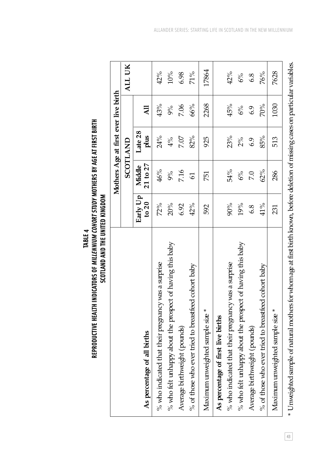| <b>TABLE 4</b> | REPRODUCTIVE HEALTH INDICATORS OF <i>Milliennium cohort study</i> mothers by age at first birth | SCOTLAND AND THE UNITED KINGDOM |
|----------------|-------------------------------------------------------------------------------------------------|---------------------------------|
|----------------|-------------------------------------------------------------------------------------------------|---------------------------------|

BIRTH

|                                                           |                     | Mothers Age at first ever live birth |                 |                 |        |
|-----------------------------------------------------------|---------------------|--------------------------------------|-----------------|-----------------|--------|
|                                                           |                     |                                      | <b>SCOTLAND</b> |                 | ALL UK |
| As percentage of all births                               | Early Up<br>to $20$ | Middle  <br>$21$ to $27$             | Late 28<br>plus | $\overline{AB}$ |        |
| % who indicated that their pregnancy was a surprise       | 72%                 | 46%                                  | 24%             | 43%             | 42%    |
| % who felt unhappy about the prospect of having this baby | 20%                 | 9%                                   | 4%              | 9%              | 10%    |
| Average birthweight (pounds)                              | 6.92                | 7.16                                 | 7.07            | 7.06            | 6.98   |
| % of those who ever tried to breastfeed cohort baby       | 42%                 | $\overline{5}$                       | 82%             | 66%             | 71%    |
| Maximum unweighted sample size *                          | 592                 | 751                                  | 925             | 2268            | 17864  |
| As percentage of first live births                        |                     |                                      |                 |                 |        |
| % who indicated that their pregnancy was a surprise       | 90%                 | 54%                                  | 23%             | 45%             | 42%    |
| % who felt unhappy about the prospect of having this baby | 19%                 | 6%                                   | $2\%$           | 6%              | 6%     |
| Average birthweight (pounds)                              | 6.8                 | 7.0                                  | 6.9             | 6.9             | 6.8    |
| % of those who ever tried to breastfeed cohort baby       | 41%                 | 62%                                  | 85%             | 70%             | 76%    |
| Maximum unweighted sample size *                          | 231                 | 286                                  | 513             | 1030            | 7628   |
|                                                           |                     |                                      |                 |                 |        |

<sup>\*</sup> Unweighted sample of natural mothers for whom age at first birth known, before deletion of missing cases on particular variables. \* Unweighted sample of natural mothers for whom age at first birth known, before deletion of missing cases on particular variables.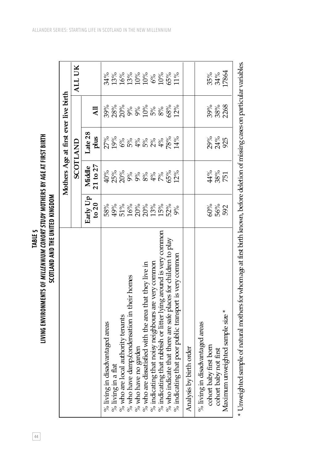| TABLE <sub>5</sub> | IVING ENVIRONMENTS OF <i>Millennium cohort study</i> mothers by age at first birth. | SCOTLAND AND THE UNITED KINGDOM |  |
|--------------------|-------------------------------------------------------------------------------------|---------------------------------|--|
| 4<br>4             |                                                                                     |                                 |  |

|                                                                                                                                     |                              |              | Mothers Age at first ever live birth |                              |                                |
|-------------------------------------------------------------------------------------------------------------------------------------|------------------------------|--------------|--------------------------------------|------------------------------|--------------------------------|
|                                                                                                                                     |                              |              | SCOTLAND                             |                              | ALL UK                         |
|                                                                                                                                     | Early Up                     | Middle       | Late 28                              |                              |                                |
|                                                                                                                                     | to $20$                      | $21$ to $27$ | plus                                 | $\overline{AB}$              |                                |
| % living in disadvantaged areas                                                                                                     | 58%                          | $40\%$       |                                      | 39%                          | 34%                            |
| $%$ living in a flat                                                                                                                |                              |              | १<br>१९८८ - २९८९<br>१९८८ - २०१८      |                              |                                |
| % who are local authority tenants                                                                                                   | 49%<br>52%%%%%%<br>920%2020% |              |                                      | 8% % % % % %<br>8% % % 2 % % | 13%%%%%<br>19%%%%%%<br>09%909% |
| % who have damp/condensation in their homes                                                                                         |                              |              |                                      |                              |                                |
| % who have no garden                                                                                                                |                              |              |                                      |                              |                                |
| % who are dissatisfied with the area that they live in                                                                              |                              |              |                                      |                              |                                |
| % indicating that noisy neighbours are very common                                                                                  |                              |              |                                      |                              |                                |
| % indicating that rubbish or litter lying around is very common                                                                     |                              |              |                                      |                              |                                |
| % who indicate that there are safe places for children to play                                                                      |                              | 65%          | 78%                                  | 68%                          |                                |
| % indicating that poor public transport is very common                                                                              | 9%                           | 12%          | 14%                                  | 12%                          | 11%                            |
| Analysis by birth order                                                                                                             |                              |              |                                      |                              |                                |
| % living in disadvantaged areas                                                                                                     |                              |              |                                      |                              |                                |
| cohort baby first born                                                                                                              |                              | 44%          |                                      | 39%                          |                                |
| cohort baby not first                                                                                                               | 9%<br>592<br>592             | $38\%$       | ಶ್ಯ<br>ನಿಸ್ತಿ<br>925                 | 38%<br>2268                  | 35%<br>34%                     |
| Maximum unweighted sample size *                                                                                                    |                              | 751          |                                      |                              | 17864                          |
| * Unweighted sample of natural mothers for whom age at first birth known, before deletion of missing cases on particular variables. |                              |              |                                      |                              |                                |

ALLANDER SERIES: STARTING LIFE IN SCOTLAND IN THE NEW MILLENNIUM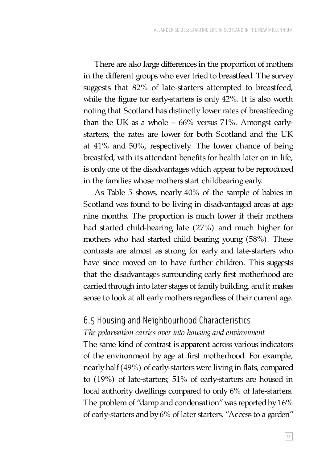There are also large differences in the proportion of mothers in the different groups who ever tried to breastfeed. The survey suggests that 82% of late-starters attempted to breastfeed, while the figure for early-starters is only 42%. It is also worth noting that Scotland has distinctly lower rates of breastfeeding than the UK as a whole – 66% versus 71%. Amongst earlystarters, the rates are lower for both Scotland and the UK at 41% and 50%, respectively. The lower chance of being breastfed, with its attendant benefits for health later on in life, is only one of the disadvantages which appear to be reproduced in the families whose mothers start childbearing early.

As Table 5 shows, nearly 40% of the sample of babies in Scotland was found to be living in disadvantaged areas at age nine months. The proportion is much lower if their mothers had started child-bearing late (27%) and much higher for mothers who had started child bearing young (58%). These contrasts are almost as strong for early and late-starters who have since moved on to have further children. This suggests that the disadvantages surrounding early first motherhood are carried through into later stages of family building, and it makes sense to look at all early mothers regardless of their current age.

## 6.5 Housing and Neighbourhood Characteristics

#### *The polarisation carries over into housing and environment*

The same kind of contrast is apparent across various indicators of the environment by age at first motherhood. For example, nearly half (49%) of early-starters were living in flats, compared to (19%) of late-starters; 51% of early-starters are housed in local authority dwellings compared to only 6% of late-starters. The problem of "damp and condensation" was reported by 16% of early-starters and by 6% of later starters. "Access to a garden"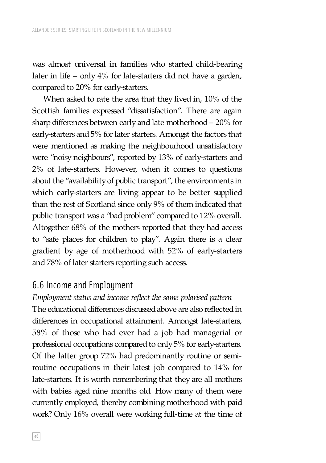was almost universal in families who started child-bearing later in life – only 4% for late-starters did not have a garden, compared to 20% for early-starters.

When asked to rate the area that they lived in, 10% of the Scottish families expressed "dissatisfaction". There are again sharp differences between early and late motherhood – 20% for early-starters and 5% for later starters. Amongst the factors that were mentioned as making the neighbourhood unsatisfactory were "noisy neighbours", reported by 13% of early-starters and 2% of late-starters. However, when it comes to questions about the "availability of public transport", the environments in which early-starters are living appear to be better supplied than the rest of Scotland since only 9% of them indicated that public transport was a "bad problem" compared to 12% overall. Altogether 68% of the mothers reported that they had access to "safe places for children to play". Again there is a clear gradient by age of motherhood with 52% of early-starters and 78% of later starters reporting such access.

#### 6.6 Income and Employment

*Employment status and income reflect the same polarised pattern* The educational differences discussed above are also reflected in differences in occupational attainment. Amongst late-starters, 58% of those who had ever had a job had managerial or professional occupations compared to only 5% for early-starters. Of the latter group 72% had predominantly routine or semiroutine occupations in their latest job compared to 14% for late-starters. It is worth remembering that they are all mothers with babies aged nine months old. How many of them were currently employed, thereby combining motherhood with paid work? Only 16% overall were working full-time at the time of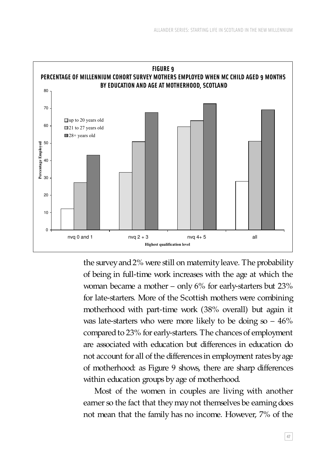

the survey and 2% were still on maternity leave. The probability of being in full-time work increases with the age at which the woman became a mother – only 6% for early-starters but 23% for late-starters. More of the Scottish mothers were combining motherhood with part-time work (38% overall) but again it was late-starters who were more likely to be doing  $\infty - 46\%$ compared to 23% for early-starters. The chances of employment are associated with education but differences in education do not account for all of the differences in employment rates by age of motherhood: as Figure 9 shows, there are sharp differences within education groups by age of motherhood.

Most of the women in couples are living with another earner so the fact that they may not themselves be earning does not mean that the family has no income. However, 7% of the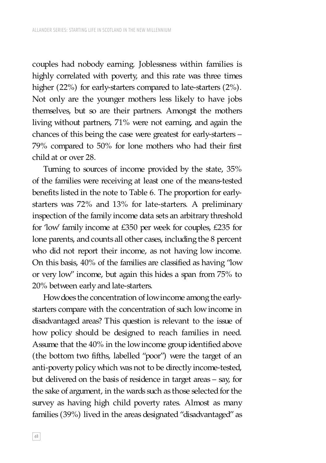couples had nobody earning. Joblessness within families is highly correlated with poverty, and this rate was three times higher (22%) for early-starters compared to late-starters (2%). Not only are the younger mothers less likely to have jobs themselves, but so are their partners. Amongst the mothers living without partners, 71% were not earning, and again the chances of this being the case were greatest for early-starters – 79% compared to 50% for lone mothers who had their first child at or over 28.

Turning to sources of income provided by the state, 35% of the families were receiving at least one of the means-tested benefits listed in the note to Table 6. The proportion for earlystarters was 72% and 13% for late-starters. A preliminary inspection of the family income data sets an arbitrary threshold for 'low' family income at £350 per week for couples, £235 for lone parents, and counts all other cases, including the 8 percent who did not report their income, as not having low income. On this basis, 40% of the families are classified as having "low or very low" income, but again this hides a span from 75% to 20% between early and late-starters.

How does the concentration of low income among the earlystarters compare with the concentration of such low income in disadvantaged areas? This question is relevant to the issue of how policy should be designed to reach families in need. Assume that the 40% in the low income group identified above (the bottom two fifths, labelled "poor") were the target of an anti-poverty policy which was not to be directly income-tested, but delivered on the basis of residence in target areas – say, for the sake of argument, in the wards such as those selected for the survey as having high child poverty rates. Almost as many families (39%) lived in the areas designated "disadvantaged" as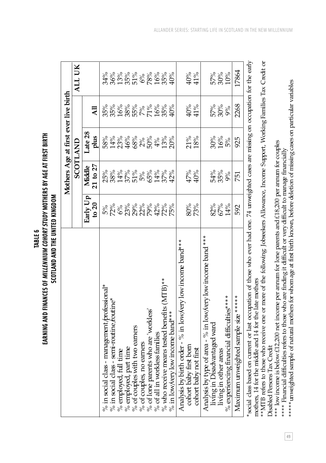|                                                                                                                                                                                                    |                                          | Mothers Age at first ever live birth |                    |                            |                   |
|----------------------------------------------------------------------------------------------------------------------------------------------------------------------------------------------------|------------------------------------------|--------------------------------------|--------------------|----------------------------|-------------------|
|                                                                                                                                                                                                    |                                          |                                      | <b>SCOTLAND</b>    |                            | ALL UK            |
|                                                                                                                                                                                                    | Early Up                                 | Middle                               | Late 28            |                            |                   |
|                                                                                                                                                                                                    | to $20$                                  | $21$ to $27$                         | plus               | All                        |                   |
| % in social class - management professional*                                                                                                                                                       | 5%                                       | 25%                                  | 58%                | 35%                        | 34%               |
| % in social class - semi-routine <i>foutine</i> *                                                                                                                                                  | 72%                                      |                                      |                    |                            |                   |
| % employed, full time                                                                                                                                                                              |                                          |                                      |                    |                            |                   |
| % employed, part time                                                                                                                                                                              |                                          |                                      |                    |                            |                   |
| % of couples with two earners                                                                                                                                                                      |                                          |                                      |                    |                            |                   |
| $%$ of couples, no earners                                                                                                                                                                         |                                          |                                      |                    |                            |                   |
| % of lone parents who are 'workless'                                                                                                                                                               | ូ<<br>ទី នី ៖ ៖ ៖ ៖ ៖<br>ទី នី នី នី ៖ ៖ | 8%%%%%%%%%%%%%%%%                    | 2%%%%%%<br>12%%%%% | 35%%%%%%%%%<br>18%%%%%%%%% | 36%%%%%%%%%%%%%%% |
| $%$ of all in workless families                                                                                                                                                                    |                                          |                                      |                    |                            |                   |
| % who receive means tested benefits (MTB)**                                                                                                                                                        |                                          |                                      | 13%                |                            |                   |
| % in low/very low income band $*$                                                                                                                                                                  | 75%                                      | 42%                                  | 20%                | $40\%$                     | 40%               |
| Analysis by birth order - % in low/very low income band***                                                                                                                                         |                                          |                                      |                    |                            |                   |
| cohort baby first born                                                                                                                                                                             | $80\%$                                   | $47\%$                               | 21%                | 40%                        | 40%               |
| cohort baby not first                                                                                                                                                                              | 73%                                      | 40%                                  | 18%                | 41%                        | 41%               |
| Analysis by type of area - % in low/very low income band***                                                                                                                                        |                                          |                                      |                    |                            |                   |
| living in Disadvantaged ward                                                                                                                                                                       | 82%                                      |                                      | 30%                |                            |                   |
| living in other areas                                                                                                                                                                              | 67%                                      | 54%<br>35%<br>9%                     | $\frac{16%}{5%}$   | 57%<br>30%                 | 57%<br>30%<br>10% |
| % experiencing financial difficulties****                                                                                                                                                          | 14%                                      |                                      |                    | 9%                         |                   |
| Maximum unweighted sample size ****                                                                                                                                                                | 592                                      | 751                                  | 925                | 2268                       | 17864             |
| *social class based on current or last occupation of those who ever had one. 74 unweighted cases are missing on occupation for the early<br>mothers, 14 for the middle and 14 for the late mothers |                                          |                                      |                    |                            |                   |

TABLE 6<br>EARNING AND FINANCES OF *MILLENNIUM COHORT STUDY M*OTHERS BY AGE AT FIRST BIRTH **EARNING AND FINANCES OF** *MILLENNIUM COHORT STUDY* **MOTHERS BY AGE AT FIRST BIRTH** SCOTLAND AND THE UNITED KINGDOM **SCOTLAND AND THE UNITED KINGDOM** mothers, 14 for the middle and 14 for the late mothers

\*\*MTB refers to those who receive one or more of the following: Jobseekers Allowance, Income Support, Working Families Tax Credit or \*\*MTB refers to those who receive one or more of the following: Jobseekers Allowance, Income Support, Working Families Tax Credit or Disabled Persons Tax Credit Disabled Persons Tax Credit

\*\*\* low income is below £12,200 net income per annum for lone parents and £18,200 per annum for couples \*\*\* low income is below £12,200 net income per annum for lone parents and £18,200 per annum for couples

\*\*\*\* Financial difficulties refers to those who are finding it difficult or very difficult to manage financially \*\*\*\* Financial difficulties refers to those who are finding it difficult or very difficult to manage financially

\*\*\*\*\* unweighted sample of natural mothers for whom age at first birth known, before deletion of missing cases on particular variables \*\*\*\*\*unweighted sample of natural mothers for whom age at first birth known, before deletion of missing cases on particular variables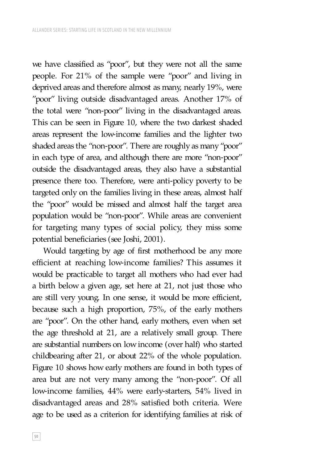we have classified as "poor", but they were not all the same people. For 21% of the sample were "poor" and living in deprived areas and therefore almost as many, nearly 19%, were "poor" living outside disadvantaged areas. Another 17% of the total were "non-poor" living in the disadvantaged areas. This can be seen in Figure 10, where the two darkest shaded areas represent the low-income families and the lighter two shaded areas the "non-poor". There are roughly as many "poor" in each type of area, and although there are more "non-poor" outside the disadvantaged areas, they also have a substantial presence there too. Therefore, were anti-policy poverty to be targeted only on the families living in these areas, almost half the "poor" would be missed and almost half the target area population would be "non-poor". While areas are convenient for targeting many types of social policy, they miss some potential beneficiaries (see Joshi, 2001).

Would targeting by age of first motherhood be any more efficient at reaching low-income families? This assumes it would be practicable to target all mothers who had ever had a birth below a given age, set here at 21, not just those who are still very young. In one sense, it would be more efficient, because such a high proportion, 75%, of the early mothers are "poor". On the other hand, early mothers, even when set the age threshold at 21, are a relatively small group. There are substantial numbers on low income (over half) who started childbearing after 21, or about 22% of the whole population. Figure 10 shows how early mothers are found in both types of area but are not very many among the "non-poor". Of all low-income families, 44% were early-starters, 54% lived in disadvantaged areas and 28% satisfied both criteria. Were age to be used as a criterion for identifying families at risk of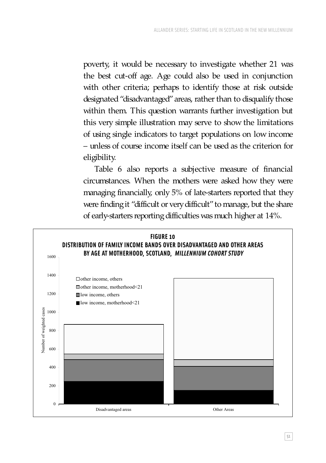poverty, it would be necessary to investigate whether 21 was the best cut-off age. Age could also be used in conjunction with other criteria; perhaps to identify those at risk outside designated "disadvantaged" areas, rather than to disqualify those within them. This question warrants further investigation but this very simple illustration may serve to show the limitations of using single indicators to target populations on low income – unless of course income itself can be used as the criterion for eligibility.

Table 6 also reports a subjective measure of financial circumstances. When the mothers were asked how they were managing financially, only 5% of late-starters reported that they were finding it "difficult or very difficult" to manage, but the share of early-starters reporting difficulties was much higher at 14%.

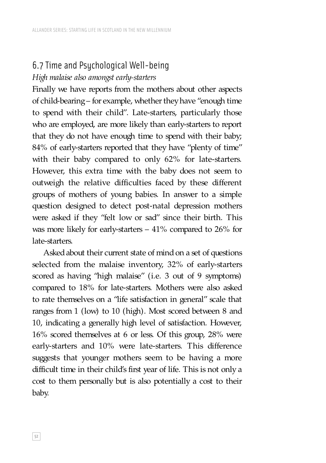### 6.7 Time and Psychological Well-being *High malaise also amongst early-starters*

Finally we have reports from the mothers about other aspects of child-bearing – for example, whether they have "enough time to spend with their child". Late-starters, particularly those who are employed, are more likely than early-starters to report that they do not have enough time to spend with their baby; 84% of early-starters reported that they have "plenty of time" with their baby compared to only 62% for late-starters. However, this extra time with the baby does not seem to outweigh the relative difficulties faced by these different groups of mothers of young babies. In answer to a simple question designed to detect post-natal depression mothers were asked if they "felt low or sad" since their birth. This was more likely for early-starters – 41% compared to 26% for late-starters.

Asked about their current state of mind on a set of questions selected from the malaise inventory, 32% of early-starters scored as having "high malaise" (i.e. 3 out of 9 symptoms) compared to 18% for late-starters. Mothers were also asked to rate themselves on a "life satisfaction in general" scale that ranges from 1 (low) to 10 (high). Most scored between 8 and 10, indicating a generally high level of satisfaction. However, 16% scored themselves at 6 or less. Of this group, 28% were early-starters and 10% were late-starters. This difference suggests that younger mothers seem to be having a more difficult time in their child's first year of life. This is not only a cost to them personally but is also potentially a cost to their baby.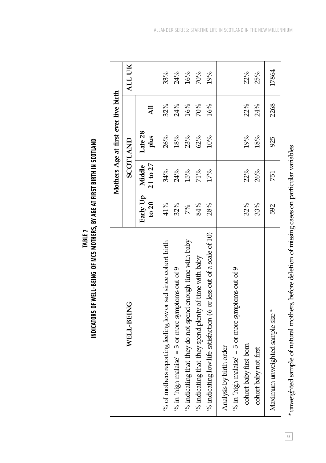|                                                                              |                     |                        | Mothers Age at first ever live birth |                 |        |
|------------------------------------------------------------------------------|---------------------|------------------------|--------------------------------------|-----------------|--------|
| WELL-BEING                                                                   |                     |                        | SCOTLAND                             |                 | ALL UK |
|                                                                              | Early Up<br>to $20$ | $21$ to $27$<br>Middle | Late 28<br>plus                      | $\overline{AB}$ |        |
| % of mothers reporting feeling low or sad since cohort birth                 | $41\%$              | 34%                    | 26%                                  | 32%             | 33%    |
| % in 'high malaise' = 3 or more symptoms out of 9                            | 32%                 | 24%                    | 18%                                  | 24%             | 24%    |
| % indicating that they do not spend enough time with baby                    | 7%                  | 15%                    | 23%                                  | 16%             | 16%    |
| % indicating that they spend plenty of time with baby                        | 84%                 | 71%                    | 62%                                  | 70%             | 70%    |
| % indicating low life satisfaction (6 or less out of a scale of 10)          | 28%                 | 17%                    | $10\%$                               | 16%             | 19%    |
| % in 'high malaise' = 3 or more symptoms out of 9<br>Analysis by birth order |                     |                        |                                      |                 |        |
| cohort baby first born                                                       | 32%                 | 22%                    | 19%                                  | 22%             | 22%    |
| cohort baby not first                                                        | 33%                 | 26%                    | $18\%$                               | 24%             | 25%    |
| Maximum unweighted sample size *                                             | 592                 | 751                    | 925                                  | 2268            | 17864  |
|                                                                              |                     |                        |                                      |                 |        |

<sup>\*</sup> unweighted sample of natural mothers, before deletion of missing cases on particular variables \*unweighted sample of natural mothers, before deletion of missing cases on particular variables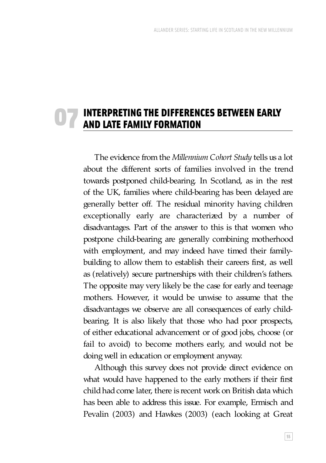#### INTERPRETING THE DIFFERENCES BETWEEN EARLY AND LATE FAMILY FORMATION 07

The evidence from the *Millennium Cohort Study* tells us a lot about the different sorts of families involved in the trend towards postponed child-bearing. In Scotland, as in the rest of the UK, families where child-bearing has been delayed are generally better off. The residual minority having children exceptionally early are characterized by a number of disadvantages. Part of the answer to this is that women who postpone child-bearing are generally combining motherhood with employment, and may indeed have timed their familybuilding to allow them to establish their careers first, as well as (relatively) secure partnerships with their children's fathers. The opposite may very likely be the case for early and teenage mothers. However, it would be unwise to assume that the disadvantages we observe are all consequences of early childbearing. It is also likely that those who had poor prospects, of either educational advancement or of good jobs, choose (or fail to avoid) to become mothers early, and would not be doing well in education or employment anyway.

Although this survey does not provide direct evidence on what would have happened to the early mothers if their first child had come later, there is recent work on British data which has been able to address this issue. For example, Ermisch and Pevalin (2003) and Hawkes (2003) (each looking at Great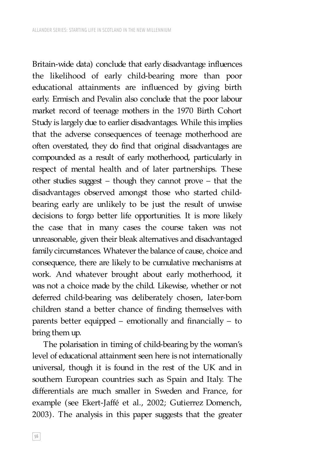Britain-wide data) conclude that early disadvantage influences the likelihood of early child-bearing more than poor educational attainments are influenced by giving birth early. Ermisch and Pevalin also conclude that the poor labour market record of teenage mothers in the 1970 Birth Cohort Study is largely due to earlier disadvantages. While this implies that the adverse consequences of teenage motherhood are often overstated, they do find that original disadvantages are compounded as a result of early motherhood, particularly in respect of mental health and of later partnerships. These other studies suggest – though they cannot prove – that the disadvantages observed amongst those who started childbearing early are unlikely to be just the result of unwise decisions to forgo better life opportunities. It is more likely the case that in many cases the course taken was not unreasonable, given their bleak alternatives and disadvantaged family circumstances. Whatever the balance of cause, choice and consequence, there are likely to be cumulative mechanisms at work. And whatever brought about early motherhood, it was not a choice made by the child. Likewise, whether or not deferred child-bearing was deliberately chosen, later-born children stand a better chance of finding themselves with parents better equipped – emotionally and financially – to bring them up.

The polarisation in timing of child-bearing by the woman's level of educational attainment seen here is not internationally universal, though it is found in the rest of the UK and in southern European countries such as Spain and Italy. The differentials are much smaller in Sweden and France, for example (see Ekert-Jaffé et al., 2002; Gutierrez Domench, 2003). The analysis in this paper suggests that the greater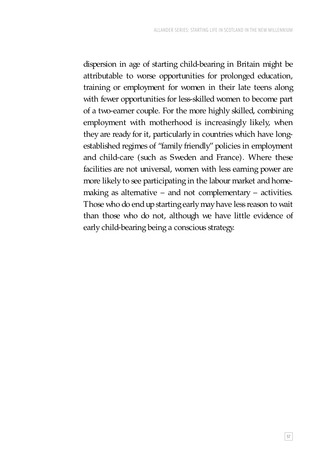dispersion in age of starting child-bearing in Britain might be attributable to worse opportunities for prolonged education, training or employment for women in their late teens along with fewer opportunities for less-skilled women to become part of a two-earner couple. For the more highly skilled, combining employment with motherhood is increasingly likely, when they are ready for it, particularly in countries which have longestablished regimes of "family friendly" policies in employment and child-care (such as Sweden and France). Where these facilities are not universal, women with less earning power are more likely to see participating in the labour market and homemaking as alternative – and not complementary – activities. Those who do end up starting early may have less reason to wait than those who do not, although we have little evidence of early child-bearing being a conscious strategy.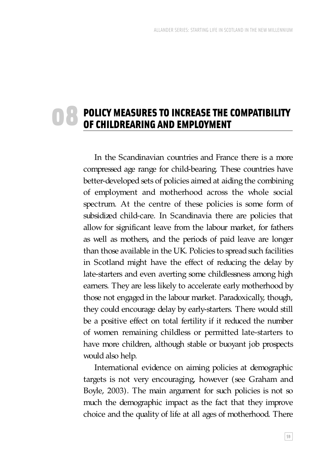#### POLICY MEASURES TO INCREASE THE COMPATIBILITY OF CHILDREARING AND EMPLOYMENT 08

In the Scandinavian countries and France there is a more compressed age range for child-bearing. These countries have better-developed sets of policies aimed at aiding the combining of employment and motherhood across the whole social spectrum. At the centre of these policies is some form of subsidized child-care. In Scandinavia there are policies that allow for significant leave from the labour market, for fathers as well as mothers, and the periods of paid leave are longer than those available in the UK. Policies to spread such facilities in Scotland might have the effect of reducing the delay by late-starters and even averting some childlessness among high earners. They are less likely to accelerate early motherhood by those not engaged in the labour market. Paradoxically, though, they could encourage delay by early-starters. There would still be a positive effect on total fertility if it reduced the number of women remaining childless or permitted late-starters to have more children, although stable or buoyant job prospects would also help.

International evidence on aiming policies at demographic targets is not very encouraging, however (see Graham and Boyle, 2003). The main argument for such policies is not so much the demographic impact as the fact that they improve choice and the quality of life at all ages of motherhood. There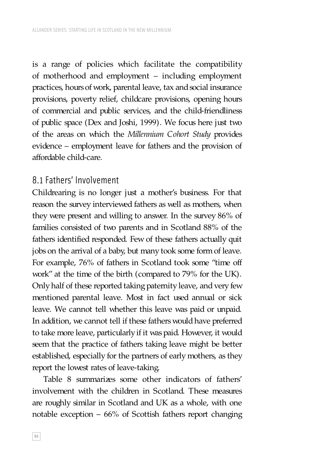is a range of policies which facilitate the compatibility of motherhood and employment – including employment practices, hours of work, parental leave, tax and social insurance provisions, poverty relief, childcare provisions, opening hours of commercial and public services, and the child-friendliness of public space (Dex and Joshi, 1999). We focus here just two of the areas on which the *Millennium Cohort Study* provides evidence – employment leave for fathers and the provision of affordable child-care.

#### 8.1 Fathers' Involvement

Childrearing is no longer just a mother's business. For that reason the survey interviewed fathers as well as mothers, when they were present and willing to answer. In the survey 86% of families consisted of two parents and in Scotland 88% of the fathers identified responded. Few of these fathers actually quit jobs on the arrival of a baby, but many took some form of leave. For example, 76% of fathers in Scotland took some "time off work" at the time of the birth (compared to 79% for the UK). Only half of these reported taking paternity leave, and very few mentioned parental leave. Most in fact used annual or sick leave. We cannot tell whether this leave was paid or unpaid. In addition, we cannot tell if these fathers would have preferred to take more leave, particularly if it was paid. However, it would seem that the practice of fathers taking leave might be better established, especially for the partners of early mothers, as they report the lowest rates of leave-taking.

Table 8 summarizes some other indicators of fathers' involvement with the children in Scotland. These measures are roughly similar in Scotland and UK as a whole, with one notable exception – 66% of Scottish fathers report changing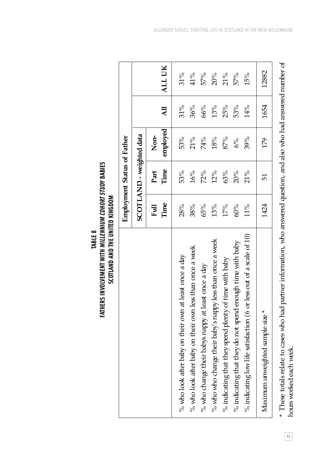|                                                                        |              | Employment Status of Father |          |                |        |
|------------------------------------------------------------------------|--------------|-----------------------------|----------|----------------|--------|
|                                                                        |              | SCOTLAND - weighted data    |          |                |        |
|                                                                        | Time<br>Full | Time<br>Part                | Non-     | $\overline{A}$ |        |
|                                                                        |              |                             | employed |                | ALL UK |
| % who look after baby on their own at least once a day                 | 28%          | 53%                         | 53%      | $31\%$         | $31\%$ |
| % who look after baby on their own less than once a week               | 38%          | 16%                         | 21%      | 36%            | 41%    |
| % who change their babys nappy at least once a day                     | 65%          | 72%                         | 74%      | 66%            | 57%    |
| % who who change their baby's nappy less than once a week              | 13%          | 12%                         | 18%      | 13%            | 20%    |
| % indicating that they spend plenty of time with baby                  | 17%          | 63%                         | 87%      | 25%            | $21\%$ |
| % indicating that they do not spend enough time with baby              | 60%          | 20%                         | 6%       | 53%            | 57%    |
| % indicating low life satisfaction (6 or less out of a scale of $10$ ) | $11\%$       | 21%                         | 39%      | 14%            | 15%    |
| Maximum unweighted sample size *                                       | 1424         | 51                          | 179      | 1654           | 12882  |
|                                                                        |              |                             |          |                |        |

TABLE 8<br>FATHERS INVOLVEMENT WITH *MILLENNIUM COHORT STUDY* BABIES **FATHERS INVOLVEMENT WITH** *MILLENNIUM COHORT STUDY* **BABIES** SCOTLAND AND THE UNITED KINGDOM **SCOTLAND AND THE UNITED KINGDOM** \* These totals relate to cases who had partner information, who answered question, and also who had answered number of \* These totals relate to cases who had partner information, who answered question, and also who had answered number of hours worked each week. hours worked each week.

**61**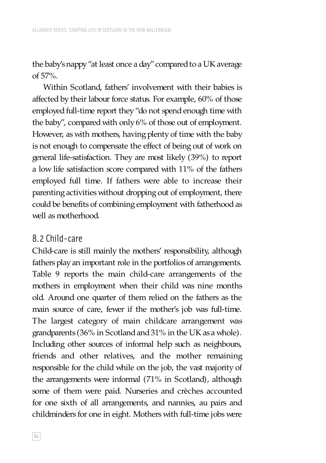the baby's nappy "at least once a day" compared to a UK average of 57%.

Within Scotland, fathers' involvement with their babies is affected by their labour force status. For example, 60% of those employed full-time report they "do not spend enough time with the baby", compared with only 6% of those out of employment. However, as with mothers, having plenty of time with the baby is not enough to compensate the effect of being out of work on general life-satisfaction. They are most likely (39%) to report a low life satisfaction score compared with 11% of the fathers employed full time. If fathers were able to increase their parenting activities without dropping out of employment, there could be benefits of combining employment with fatherhood as well as motherhood.

#### 8.2 Child-care

Child-care is still mainly the mothers' responsibility, although fathers play an important role in the portfolios of arrangements. Table 9 reports the main child-care arrangements of the mothers in employment when their child was nine months old. Around one quarter of them relied on the fathers as the main source of care, fewer if the mother's job was full-time. The largest category of main childcare arrangement was grandparents (36% in Scotland and 31% in the UK as a whole). Including other sources of informal help such as neighbours, friends and other relatives, and the mother remaining responsible for the child while on the job, the vast majority of the arrangements were informal (71% in Scotland), although some of them were paid. Nurseries and crèches accounted for one sixth of all arrangements, and nannies, au pairs and childminders for one in eight. Mothers with full-time jobs were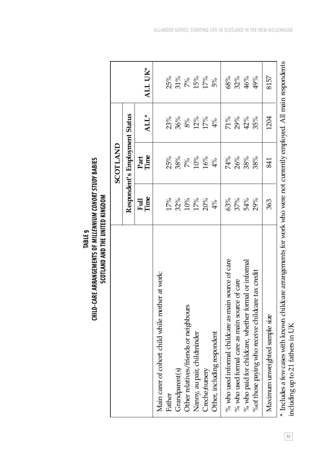|                                                                                                                         |              | SCOTLAND                       |        |         |
|-------------------------------------------------------------------------------------------------------------------------|--------------|--------------------------------|--------|---------|
|                                                                                                                         |              | Respondent's Employment Status |        |         |
|                                                                                                                         | Full<br>Time | Part<br>Time                   | ALL*   | ALL UK* |
| Main carer of cohort child while mother at work:                                                                        |              |                                |        |         |
| Father                                                                                                                  | 17%          | 25%                            | 23%    | 25%     |
| Grandparent(s)                                                                                                          | 32%          | $38\%$                         | 36%    | $31\%$  |
| Other relatives/friends or neighbours                                                                                   | 10%          | $7\%$                          | $8\%$  | $7\%$   |
| Nanny, au pair, childminder                                                                                             | 17%          | 10%                            | 12%    | 15%     |
| Creche/nursery                                                                                                          | 20%          | 16%                            | $17\%$ | 17%     |
| Other, including respondent                                                                                             | 4%           | 4%                             | 4%     | 5%      |
| % who used informal childcare as main source of care                                                                    | 63%          | 74%                            | 71%    | 68%     |
| $%$ who used formal care as main source of care                                                                         | 37%          | 26%                            | 29%    | 32%     |
| % who paid for childcare, whether formal or informal                                                                    | 54%          | 38%                            | 42%    | 46%     |
| % of those paying who receive childcare tax credit                                                                      | 29%          | 38%                            | 35%    | 49%     |
| Maximum unweighted sample size                                                                                          | 363          | 841                            | 1204   | 8157    |
| * Includes a few cases with known childcare arrangements for work who were not currently employed. All main respondents |              |                                |        |         |

TABLE 9<br>CHILD-CARE ARRANGEMENTS OF *MILLENNIUM COHORT STUDY* BABIES<br>SCOTLAND AND THE UNITED KINGDOM **CHILD-CARE ARRANGEMENTS OF** *MILLENNIUM COHORT STUDY* **BABIES**

including up to 21 fathers in UK including up to 21 fathers in UK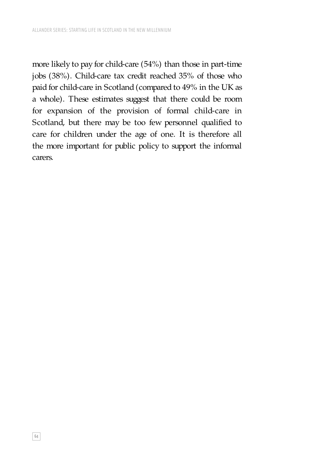more likely to pay for child-care (54%) than those in part-time jobs (38%). Child-care tax credit reached 35% of those who paid for child-care in Scotland (compared to 49% in the UK as a whole). These estimates suggest that there could be room for expansion of the provision of formal child-care in Scotland, but there may be too few personnel qualified to care for children under the age of one. It is therefore all the more important for public policy to support the informal carers.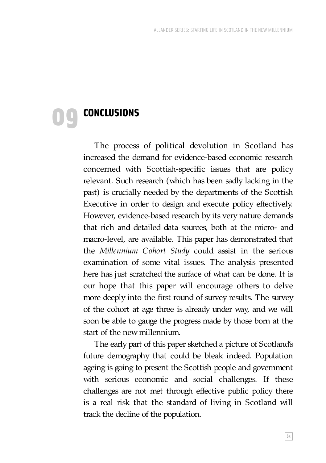# **CONCLUSIONS**

09

The process of political devolution in Scotland has increased the demand for evidence-based economic research concerned with Scottish-specific issues that are policy relevant. Such research (which has been sadly lacking in the past) is crucially needed by the departments of the Scottish Executive in order to design and execute policy effectively. However, evidence-based research by its very nature demands that rich and detailed data sources, both at the micro- and macro-level, are available. This paper has demonstrated that the *Millennium Cohort Study* could assist in the serious examination of some vital issues. The analysis presented here has just scratched the surface of what can be done. It is our hope that this paper will encourage others to delve more deeply into the first round of survey results. The survey of the cohort at age three is already under way, and we will soon be able to gauge the progress made by those born at the start of the new millennium.

The early part of this paper sketched a picture of Scotland's future demography that could be bleak indeed. Population ageing is going to present the Scottish people and government with serious economic and social challenges. If these challenges are not met through effective public policy there is a real risk that the standard of living in Scotland will track the decline of the population.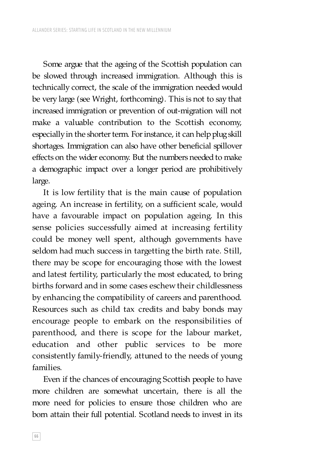Some argue that the ageing of the Scottish population can be slowed through increased immigration. Although this is technically correct, the scale of the immigration needed would be very large (see Wright, forthcoming). This is not to say that increased immigration or prevention of out-migration will not make a valuable contribution to the Scottish economy, especially in the shorter term. For instance, it can help plug skill shortages. Immigration can also have other beneficial spillover effects on the wider economy. But the numbers needed to make a demographic impact over a longer period are prohibitively large.

It is low fertility that is the main cause of population ageing. An increase in fertility, on a sufficient scale, would have a favourable impact on population ageing. In this sense policies successfully aimed at increasing fertility could be money well spent, although governments have seldom had much success in targetting the birth rate. Still, there may be scope for encouraging those with the lowest and latest fertility, particularly the most educated, to bring births forward and in some cases eschew their childlessness by enhancing the compatibility of careers and parenthood. Resources such as child tax credits and baby bonds may encourage people to embark on the responsibilities of parenthood, and there is scope for the labour market, education and other public services to be more consistently family-friendly, attuned to the needs of young families.

Even if the chances of encouraging Scottish people to have more children are somewhat uncertain, there is all the more need for policies to ensure those children who are born attain their full potential. Scotland needs to invest in its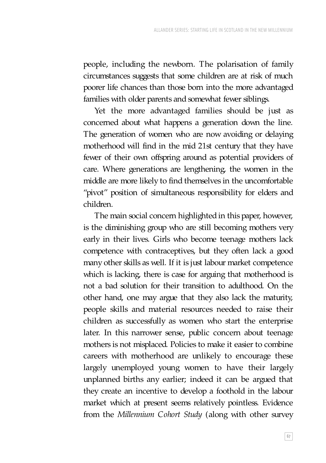people, including the newborn. The polarisation of family circumstances suggests that some children are at risk of much poorer life chances than those born into the more advantaged families with older parents and somewhat fewer siblings.

Yet the more advantaged families should be just as concerned about what happens a generation down the line. The generation of women who are now avoiding or delaying motherhood will find in the mid 21st century that they have fewer of their own offspring around as potential providers of care. Where generations are lengthening, the women in the middle are more likely to find themselves in the uncomfortable "pivot" position of simultaneous responsibility for elders and children.

The main social concern highlighted in this paper, however, is the diminishing group who are still becoming mothers very early in their lives. Girls who become teenage mothers lack competence with contraceptives, but they often lack a good many other skills as well. If it is just labour market competence which is lacking, there is case for arguing that motherhood is not a bad solution for their transition to adulthood. On the other hand, one may argue that they also lack the maturity, people skills and material resources needed to raise their children as successfully as women who start the enterprise later. In this narrower sense, public concern about teenage mothers is not misplaced. Policies to make it easier to combine careers with motherhood are unlikely to encourage these largely unemployed young women to have their largely unplanned births any earlier; indeed it can be argued that they create an incentive to develop a foothold in the labour market which at present seems relatively pointless. Evidence from the *Millennium Cohort Study* (along with other survey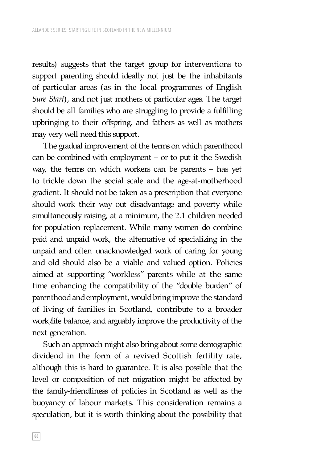results) suggests that the target group for interventions to support parenting should ideally not just be the inhabitants of particular areas (as in the local programmes of English *Sure Start*), and not just mothers of particular ages. The target should be all families who are struggling to provide a fulfilling upbringing to their offspring, and fathers as well as mothers may very well need this support.

The gradual improvement of the terms on which parenthood can be combined with employment – or to put it the Swedish way, the terms on which workers can be parents – has yet to trickle down the social scale and the age-at-motherhood gradient. It should not be taken as a prescription that everyone should work their way out disadvantage and poverty while simultaneously raising, at a minimum, the 2.1 children needed for population replacement. While many women do combine paid and unpaid work, the alternative of specializing in the unpaid and often unacknowledged work of caring for young and old should also be a viable and valued option. Policies aimed at supporting "workless" parents while at the same time enhancing the compatibility of the "double burden" of parenthood and employment, would bring improve the standard of living of families in Scotland, contribute to a broader work/life balance, and arguably improve the productivity of the next generation.

Such an approach might also bring about some demographic dividend in the form of a revived Scottish fertility rate, although this is hard to guarantee. It is also possible that the level or composition of net migration might be affected by the family-friendliness of policies in Scotland as well as the buoyancy of labour markets. This consideration remains a speculation, but it is worth thinking about the possibility that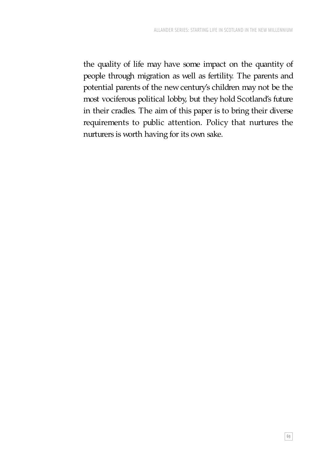the quality of life may have some impact on the quantity of people through migration as well as fertility. The parents and potential parents of the new century's children may not be the most vociferous political lobby, but they hold Scotland's future in their cradles. The aim of this paper is to bring their diverse requirements to public attention. Policy that nurtures the nurturers is worth having for its own sake.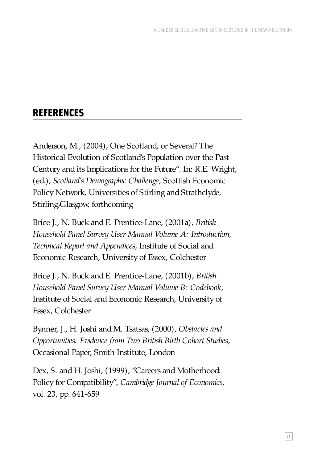## REFERENCES

Anderson, M., (2004), One Scotland, or Several? The Historical Evolution of Scotland's Population over the Past Century and its Implications for the Future". In: R.E. Wright, (ed.), *Scotland's Demographic Challenge*, Scottish Economic Policy Network, Universities of Stirling and Strathclyde, Stirling/Glasgow, forthcoming

Brice J., N. Buck and E. Prentice-Lane, (2001a), *British Household Panel Survey User Manual Volume A: Introduction, Technical Report and Appendices*, Institute of Social and Economic Research, University of Essex, Colchester

Brice J., N. Buck and E. Prentice-Lane, (2001b), *British Household Panel Survey User Manual Volume B: Codebook*, Institute of Social and Economic Research, University of Essex, Colchester

Bynner, J., H. Joshi and M. Tsatsas, (2000), *Obstacles and Opportunities: Evidence from Two British Birth Cohort Studies*, Occasional Paper, Smith Institute, London

Dex, S. and H. Joshi, (1999), "Careers and Motherhood: Policy for Compatibility", *Cambridge Journal of Economics*, vol. 23, pp. 641-659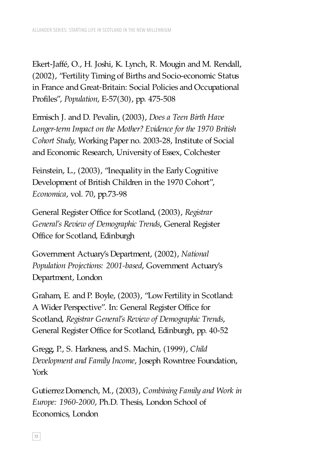Ekert-Jaffé, O., H. Joshi, K. Lynch, R. Mougin and M. Rendall, (2002), "Fertility Timing of Births and Socio-economic Status in France and Great-Britain: Social Policies and Occupational Profiles", *Population*, E-57(30), pp. 475-508

Ermisch J. and D. Pevalin, (2003), *Does a Teen Birth Have Longer-term Impact on the Mother? Evidence for the 1970 British Cohort Study*, Working Paper no. 2003-28, Institute of Social and Economic Research, University of Essex, Colchester

Feinstein, L., (2003), "Inequality in the Early Cognitive Development of British Children in the 1970 Cohort", *Economica*, vol. 70, pp.73-98

General Register Office for Scotland, (2003), *Registrar General's Review of Demographic Trends*, General Register Office for Scotland, Edinburgh

Government Actuary's Department, (2002), *National Population Projections: 2001-based*, Government Actuary's Department, London

Graham, E. and P. Boyle, (2003), "Low Fertility in Scotland: A Wider Perspective". In: General Register Office for Scotland, *Registrar General's Review of Demographic Trends*, General Register Office for Scotland, Edinburgh, pp. 40-52

Gregg, P., S. Harkness, and S. Machin, (1999), *Child Development and Family Income*, Joseph Rowntree Foundation, York

Gutierrez Domench, M., (2003), *Combining Family and Work in Europe: 1960-2000*, Ph.D. Thesis, London School of Economics, London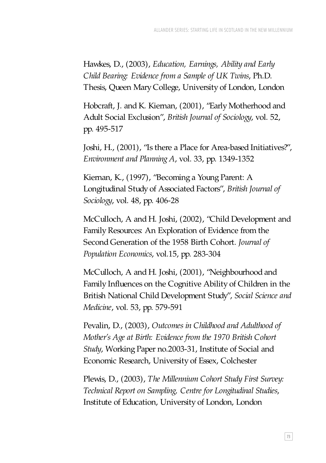Hawkes, D., (2003), *Education, Earnings, Ability and Early Child Bearing: Evidence from a Sample of UK Twins*, Ph.D. Thesis, Queen Mary College, University of London, London

Hobcraft, J. and K. Kiernan, (2001), "Early Motherhood and Adult Social Exclusion", *British Journal of Sociology*, vol. 52, pp. 495-517

Joshi, H., (2001), "Is there a Place for Area-based Initiatives?", *Environment and Planning A*, vol. 33, pp. 1349-1352

Kiernan, K., (1997), "Becoming a Young Parent: A Longitudinal Study of Associated Factors", *British Journal of Sociology*, vol. 48, pp. 406-28

McCulloch, A and H. Joshi, (2002), "Child Development and Family Resources: An Exploration of Evidence from the Second Generation of the 1958 Birth Cohort. *Journal of Population Economics*, vol.15, pp. 283-304

McCulloch, A and H. Joshi, (2001), "Neighbourhood and Family Influences on the Cognitive Ability of Children in the British National Child Development Study", *Social Science and Medicine*, vol. 53, pp. 579-591

Pevalin, D., (2003), *Outcomes in Childhood and Adulthood of Mother's Age at Birth: Evidence from the 1970 British Cohort Study*, Working Paper no.2003-31, Institute of Social and Economic Research, University of Essex, Colchester

Plewis, D., (2003), *The Millennium Cohort Study First Survey: Technical Report on Sampling, Centre for Longitudinal Studies*, Institute of Education, University of London, London